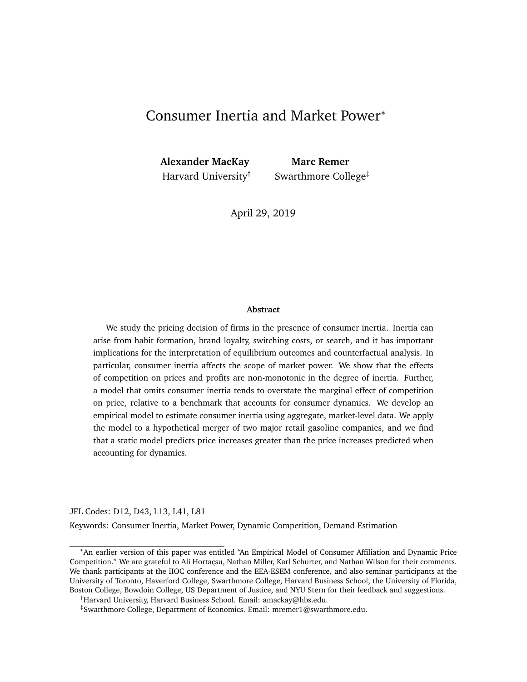# Consumer Inertia and Market Power<sup>∗</sup>

**Alexander MacKay Marc Remer**

Harvard University<sup>†</sup> Swarthmore College<sup> $\ddagger$ </sup>

April 29, 2019

#### **Abstract**

We study the pricing decision of firms in the presence of consumer inertia. Inertia can arise from habit formation, brand loyalty, switching costs, or search, and it has important implications for the interpretation of equilibrium outcomes and counterfactual analysis. In particular, consumer inertia affects the scope of market power. We show that the effects of competition on prices and profits are non-monotonic in the degree of inertia. Further, a model that omits consumer inertia tends to overstate the marginal effect of competition on price, relative to a benchmark that accounts for consumer dynamics. We develop an empirical model to estimate consumer inertia using aggregate, market-level data. We apply the model to a hypothetical merger of two major retail gasoline companies, and we find that a static model predicts price increases greater than the price increases predicted when accounting for dynamics.

JEL Codes: D12, D43, L13, L41, L81

Keywords: Consumer Inertia, Market Power, Dynamic Competition, Demand Estimation

<sup>∗</sup>An earlier version of this paper was entitled "An Empirical Model of Consumer Affiliation and Dynamic Price Competition." We are grateful to Ali Hortaçsu, Nathan Miller, Karl Schurter, and Nathan Wilson for their comments. We thank participants at the IIOC conference and the EEA-ESEM conference, and also seminar participants at the University of Toronto, Haverford College, Swarthmore College, Harvard Business School, the University of Florida, Boston College, Bowdoin College, US Department of Justice, and NYU Stern for their feedback and suggestions.

<sup>†</sup>Harvard University, Harvard Business School. Email: amackay@hbs.edu.

<sup>‡</sup> Swarthmore College, Department of Economics. Email: mremer1@swarthmore.edu.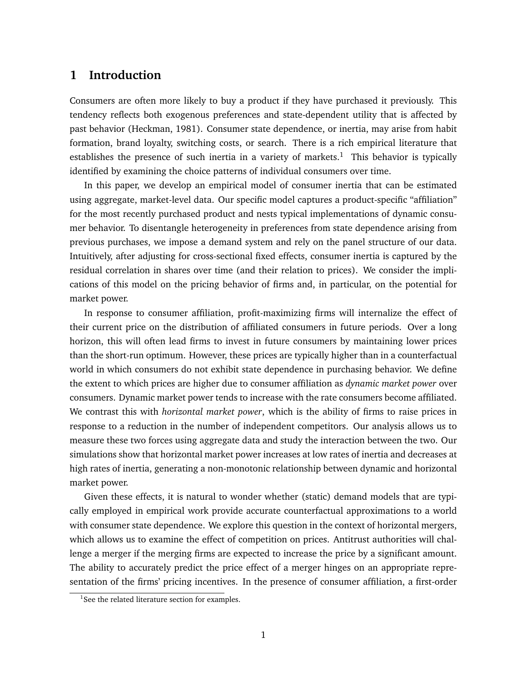## **1 Introduction**

Consumers are often more likely to buy a product if they have purchased it previously. This tendency reflects both exogenous preferences and state-dependent utility that is affected by past behavior (Heckman, 1981). Consumer state dependence, or inertia, may arise from habit formation, brand loyalty, switching costs, or search. There is a rich empirical literature that establishes the presence of such inertia in a variety of markets.<sup>1</sup> This behavior is typically identified by examining the choice patterns of individual consumers over time.

In this paper, we develop an empirical model of consumer inertia that can be estimated using aggregate, market-level data. Our specific model captures a product-specific "affiliation" for the most recently purchased product and nests typical implementations of dynamic consumer behavior. To disentangle heterogeneity in preferences from state dependence arising from previous purchases, we impose a demand system and rely on the panel structure of our data. Intuitively, after adjusting for cross-sectional fixed effects, consumer inertia is captured by the residual correlation in shares over time (and their relation to prices). We consider the implications of this model on the pricing behavior of firms and, in particular, on the potential for market power.

In response to consumer affiliation, profit-maximizing firms will internalize the effect of their current price on the distribution of affiliated consumers in future periods. Over a long horizon, this will often lead firms to invest in future consumers by maintaining lower prices than the short-run optimum. However, these prices are typically higher than in a counterfactual world in which consumers do not exhibit state dependence in purchasing behavior. We define the extent to which prices are higher due to consumer affiliation as *dynamic market power* over consumers. Dynamic market power tends to increase with the rate consumers become affiliated. We contrast this with *horizontal market power*, which is the ability of firms to raise prices in response to a reduction in the number of independent competitors. Our analysis allows us to measure these two forces using aggregate data and study the interaction between the two. Our simulations show that horizontal market power increases at low rates of inertia and decreases at high rates of inertia, generating a non-monotonic relationship between dynamic and horizontal market power.

Given these effects, it is natural to wonder whether (static) demand models that are typically employed in empirical work provide accurate counterfactual approximations to a world with consumer state dependence. We explore this question in the context of horizontal mergers, which allows us to examine the effect of competition on prices. Antitrust authorities will challenge a merger if the merging firms are expected to increase the price by a significant amount. The ability to accurately predict the price effect of a merger hinges on an appropriate representation of the firms' pricing incentives. In the presence of consumer affiliation, a first-order

<sup>&</sup>lt;sup>1</sup>See the related literature section for examples.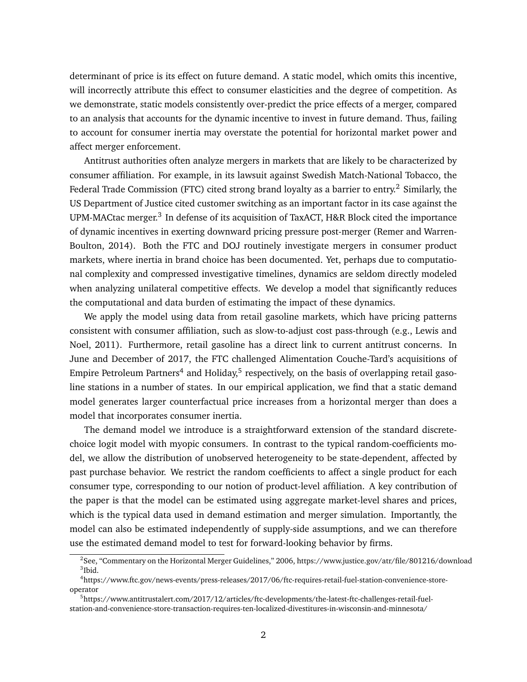determinant of price is its effect on future demand. A static model, which omits this incentive, will incorrectly attribute this effect to consumer elasticities and the degree of competition. As we demonstrate, static models consistently over-predict the price effects of a merger, compared to an analysis that accounts for the dynamic incentive to invest in future demand. Thus, failing to account for consumer inertia may overstate the potential for horizontal market power and affect merger enforcement.

Antitrust authorities often analyze mergers in markets that are likely to be characterized by consumer affiliation. For example, in its lawsuit against Swedish Match-National Tobacco, the Federal Trade Commission (FTC) cited strong brand loyalty as a barrier to entry.<sup>2</sup> Similarly, the US Department of Justice cited customer switching as an important factor in its case against the UPM-MACtac merger.<sup>3</sup> In defense of its acquisition of TaxACT, H&R Block cited the importance of dynamic incentives in exerting downward pricing pressure post-merger (Remer and Warren-Boulton, 2014). Both the FTC and DOJ routinely investigate mergers in consumer product markets, where inertia in brand choice has been documented. Yet, perhaps due to computational complexity and compressed investigative timelines, dynamics are seldom directly modeled when analyzing unilateral competitive effects. We develop a model that significantly reduces the computational and data burden of estimating the impact of these dynamics.

We apply the model using data from retail gasoline markets, which have pricing patterns consistent with consumer affiliation, such as slow-to-adjust cost pass-through (e.g., Lewis and Noel, 2011). Furthermore, retail gasoline has a direct link to current antitrust concerns. In June and December of 2017, the FTC challenged Alimentation Couche-Tard's acquisitions of Empire Petroleum Partners $^4$  and Holiday, $^5$  respectively, on the basis of overlapping retail gasoline stations in a number of states. In our empirical application, we find that a static demand model generates larger counterfactual price increases from a horizontal merger than does a model that incorporates consumer inertia.

The demand model we introduce is a straightforward extension of the standard discretechoice logit model with myopic consumers. In contrast to the typical random-coefficients model, we allow the distribution of unobserved heterogeneity to be state-dependent, affected by past purchase behavior. We restrict the random coefficients to affect a single product for each consumer type, corresponding to our notion of product-level affiliation. A key contribution of the paper is that the model can be estimated using aggregate market-level shares and prices, which is the typical data used in demand estimation and merger simulation. Importantly, the model can also be estimated independently of supply-side assumptions, and we can therefore use the estimated demand model to test for forward-looking behavior by firms.

<sup>2</sup> See, "Commentary on the Horizontal Merger Guidelines," 2006, https://www.justice.gov/atr/file/801216/download 3 Ibid.

<sup>4</sup> https://www.ftc.gov/news-events/press-releases/2017/06/ftc-requires-retail-fuel-station-convenience-storeoperator

<sup>5</sup> https://www.antitrustalert.com/2017/12/articles/ftc-developments/the-latest-ftc-challenges-retail-fuelstation-and-convenience-store-transaction-requires-ten-localized-divestitures-in-wisconsin-and-minnesota/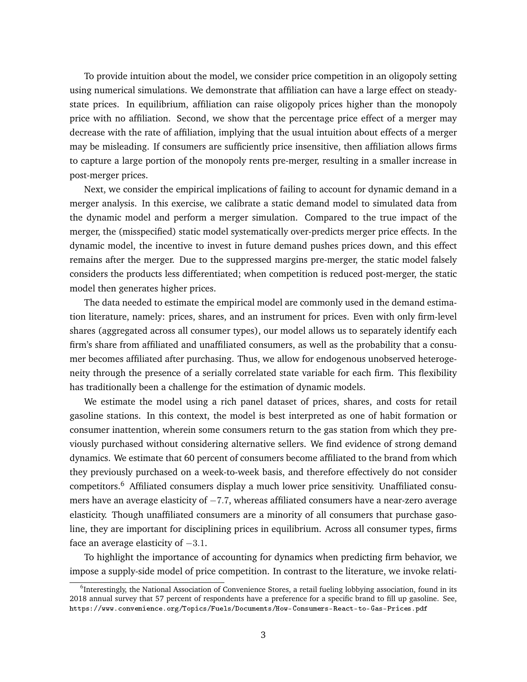To provide intuition about the model, we consider price competition in an oligopoly setting using numerical simulations. We demonstrate that affiliation can have a large effect on steadystate prices. In equilibrium, affiliation can raise oligopoly prices higher than the monopoly price with no affiliation. Second, we show that the percentage price effect of a merger may decrease with the rate of affiliation, implying that the usual intuition about effects of a merger may be misleading. If consumers are sufficiently price insensitive, then affiliation allows firms to capture a large portion of the monopoly rents pre-merger, resulting in a smaller increase in post-merger prices.

Next, we consider the empirical implications of failing to account for dynamic demand in a merger analysis. In this exercise, we calibrate a static demand model to simulated data from the dynamic model and perform a merger simulation. Compared to the true impact of the merger, the (misspecified) static model systematically over-predicts merger price effects. In the dynamic model, the incentive to invest in future demand pushes prices down, and this effect remains after the merger. Due to the suppressed margins pre-merger, the static model falsely considers the products less differentiated; when competition is reduced post-merger, the static model then generates higher prices.

The data needed to estimate the empirical model are commonly used in the demand estimation literature, namely: prices, shares, and an instrument for prices. Even with only firm-level shares (aggregated across all consumer types), our model allows us to separately identify each firm's share from affiliated and unaffiliated consumers, as well as the probability that a consumer becomes affiliated after purchasing. Thus, we allow for endogenous unobserved heterogeneity through the presence of a serially correlated state variable for each firm. This flexibility has traditionally been a challenge for the estimation of dynamic models.

We estimate the model using a rich panel dataset of prices, shares, and costs for retail gasoline stations. In this context, the model is best interpreted as one of habit formation or consumer inattention, wherein some consumers return to the gas station from which they previously purchased without considering alternative sellers. We find evidence of strong demand dynamics. We estimate that 60 percent of consumers become affiliated to the brand from which they previously purchased on a week-to-week basis, and therefore effectively do not consider competitors.<sup>6</sup> Affiliated consumers display a much lower price sensitivity. Unaffiliated consumers have an average elasticity of −7.7, whereas affiliated consumers have a near-zero average elasticity. Though unaffiliated consumers are a minority of all consumers that purchase gasoline, they are important for disciplining prices in equilibrium. Across all consumer types, firms face an average elasticity of  $-3.1$ .

To highlight the importance of accounting for dynamics when predicting firm behavior, we impose a supply-side model of price competition. In contrast to the literature, we invoke relati-

<sup>&</sup>lt;sup>6</sup>Interestingly, the National Association of Convenience Stores, a retail fueling lobbying association, found in its 2018 annual survey that 57 percent of respondents have a preference for a specific brand to fill up gasoline. See, https://www.convenience.org/Topics/Fuels/Documents/How-Consumers-React-to-Gas-Prices.pdf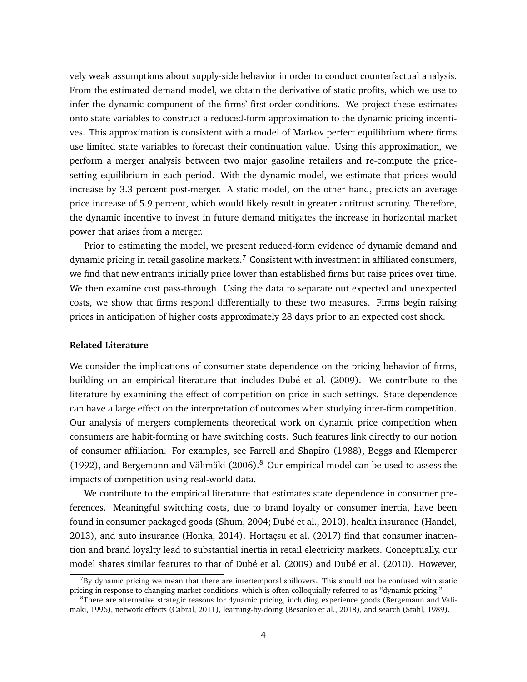vely weak assumptions about supply-side behavior in order to conduct counterfactual analysis. From the estimated demand model, we obtain the derivative of static profits, which we use to infer the dynamic component of the firms' first-order conditions. We project these estimates onto state variables to construct a reduced-form approximation to the dynamic pricing incentives. This approximation is consistent with a model of Markov perfect equilibrium where firms use limited state variables to forecast their continuation value. Using this approximation, we perform a merger analysis between two major gasoline retailers and re-compute the pricesetting equilibrium in each period. With the dynamic model, we estimate that prices would increase by 3.3 percent post-merger. A static model, on the other hand, predicts an average price increase of 5.9 percent, which would likely result in greater antitrust scrutiny. Therefore, the dynamic incentive to invest in future demand mitigates the increase in horizontal market power that arises from a merger.

Prior to estimating the model, we present reduced-form evidence of dynamic demand and dynamic pricing in retail gasoline markets.<sup>7</sup> Consistent with investment in affiliated consumers, we find that new entrants initially price lower than established firms but raise prices over time. We then examine cost pass-through. Using the data to separate out expected and unexpected costs, we show that firms respond differentially to these two measures. Firms begin raising prices in anticipation of higher costs approximately 28 days prior to an expected cost shock.

#### **Related Literature**

We consider the implications of consumer state dependence on the pricing behavior of firms, building on an empirical literature that includes Dubé et al. (2009). We contribute to the literature by examining the effect of competition on price in such settings. State dependence can have a large effect on the interpretation of outcomes when studying inter-firm competition. Our analysis of mergers complements theoretical work on dynamic price competition when consumers are habit-forming or have switching costs. Such features link directly to our notion of consumer affiliation. For examples, see Farrell and Shapiro (1988), Beggs and Klemperer (1992), and Bergemann and Välimäki (2006). $8$  Our empirical model can be used to assess the impacts of competition using real-world data.

We contribute to the empirical literature that estimates state dependence in consumer preferences. Meaningful switching costs, due to brand loyalty or consumer inertia, have been found in consumer packaged goods (Shum, 2004; Dubé et al., 2010), health insurance (Handel, 2013), and auto insurance (Honka, 2014). Hortaçsu et al. (2017) find that consumer inattention and brand loyalty lead to substantial inertia in retail electricity markets. Conceptually, our model shares similar features to that of Dubé et al. (2009) and Dubé et al. (2010). However,

 $7By$  dynamic pricing we mean that there are intertemporal spillovers. This should not be confused with static pricing in response to changing market conditions, which is often colloquially referred to as "dynamic pricing."

<sup>8</sup>There are alternative strategic reasons for dynamic pricing, including experience goods (Bergemann and Valimaki, 1996), network effects (Cabral, 2011), learning-by-doing (Besanko et al., 2018), and search (Stahl, 1989).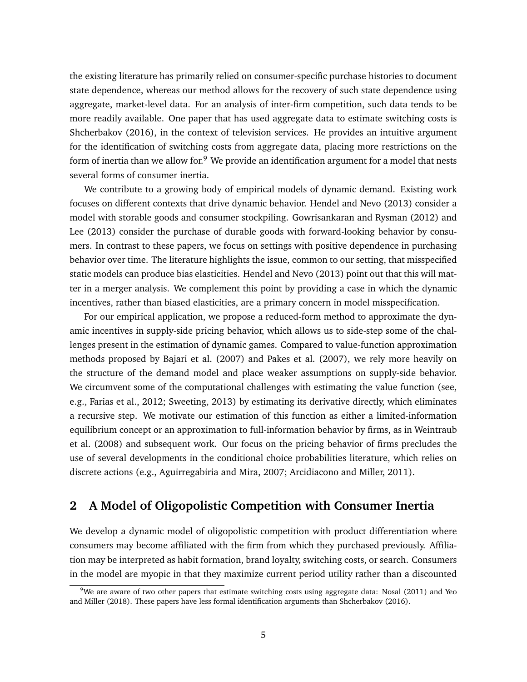the existing literature has primarily relied on consumer-specific purchase histories to document state dependence, whereas our method allows for the recovery of such state dependence using aggregate, market-level data. For an analysis of inter-firm competition, such data tends to be more readily available. One paper that has used aggregate data to estimate switching costs is Shcherbakov (2016), in the context of television services. He provides an intuitive argument for the identification of switching costs from aggregate data, placing more restrictions on the form of inertia than we allow for.<sup>9</sup> We provide an identification argument for a model that nests several forms of consumer inertia.

We contribute to a growing body of empirical models of dynamic demand. Existing work focuses on different contexts that drive dynamic behavior. Hendel and Nevo (2013) consider a model with storable goods and consumer stockpiling. Gowrisankaran and Rysman (2012) and Lee (2013) consider the purchase of durable goods with forward-looking behavior by consumers. In contrast to these papers, we focus on settings with positive dependence in purchasing behavior over time. The literature highlights the issue, common to our setting, that misspecified static models can produce bias elasticities. Hendel and Nevo (2013) point out that this will matter in a merger analysis. We complement this point by providing a case in which the dynamic incentives, rather than biased elasticities, are a primary concern in model misspecification.

For our empirical application, we propose a reduced-form method to approximate the dynamic incentives in supply-side pricing behavior, which allows us to side-step some of the challenges present in the estimation of dynamic games. Compared to value-function approximation methods proposed by Bajari et al. (2007) and Pakes et al. (2007), we rely more heavily on the structure of the demand model and place weaker assumptions on supply-side behavior. We circumvent some of the computational challenges with estimating the value function (see, e.g., Farias et al., 2012; Sweeting, 2013) by estimating its derivative directly, which eliminates a recursive step. We motivate our estimation of this function as either a limited-information equilibrium concept or an approximation to full-information behavior by firms, as in Weintraub et al. (2008) and subsequent work. Our focus on the pricing behavior of firms precludes the use of several developments in the conditional choice probabilities literature, which relies on discrete actions (e.g., Aguirregabiria and Mira, 2007; Arcidiacono and Miller, 2011).

# **2 A Model of Oligopolistic Competition with Consumer Inertia**

We develop a dynamic model of oligopolistic competition with product differentiation where consumers may become affiliated with the firm from which they purchased previously. Affiliation may be interpreted as habit formation, brand loyalty, switching costs, or search. Consumers in the model are myopic in that they maximize current period utility rather than a discounted

 $9$ We are aware of two other papers that estimate switching costs using aggregate data: Nosal (2011) and Yeo and Miller (2018). These papers have less formal identification arguments than Shcherbakov (2016).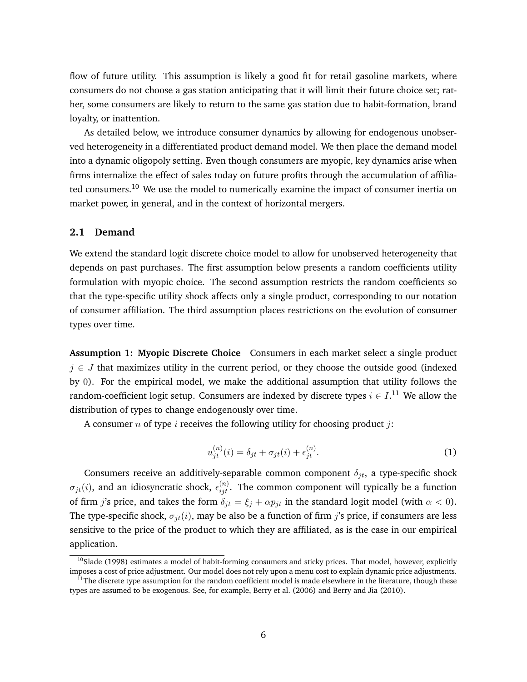flow of future utility. This assumption is likely a good fit for retail gasoline markets, where consumers do not choose a gas station anticipating that it will limit their future choice set; rather, some consumers are likely to return to the same gas station due to habit-formation, brand loyalty, or inattention.

As detailed below, we introduce consumer dynamics by allowing for endogenous unobserved heterogeneity in a differentiated product demand model. We then place the demand model into a dynamic oligopoly setting. Even though consumers are myopic, key dynamics arise when firms internalize the effect of sales today on future profits through the accumulation of affiliated consumers.<sup>10</sup> We use the model to numerically examine the impact of consumer inertia on market power, in general, and in the context of horizontal mergers.

## **2.1 Demand**

We extend the standard logit discrete choice model to allow for unobserved heterogeneity that depends on past purchases. The first assumption below presents a random coefficients utility formulation with myopic choice. The second assumption restricts the random coefficients so that the type-specific utility shock affects only a single product, corresponding to our notation of consumer affiliation. The third assumption places restrictions on the evolution of consumer types over time.

**Assumption 1: Myopic Discrete Choice** Consumers in each market select a single product  $j \in J$  that maximizes utility in the current period, or they choose the outside good (indexed by 0). For the empirical model, we make the additional assumption that utility follows the random-coefficient logit setup. Consumers are indexed by discrete types  $i \in I$ .<sup>11</sup> We allow the distribution of types to change endogenously over time.

A consumer *n* of type *i* receives the following utility for choosing product *j*:

$$
u_{jt}^{(n)}(i) = \delta_{jt} + \sigma_{jt}(i) + \epsilon_{jt}^{(n)}.
$$
\n(1)

Consumers receive an additively-separable common component  $\delta_{it}$ , a type-specific shock  $\sigma_{jt}(i)$ , and an idiosyncratic shock,  $\epsilon_{ijt}^{(n)}$ . The common component will typically be a function of firm j's price, and takes the form  $\delta_{it} = \xi_i + \alpha p_{it}$  in the standard logit model (with  $\alpha < 0$ ). The type-specific shock,  $\sigma_{it}(i)$ , may be also be a function of firm j's price, if consumers are less sensitive to the price of the product to which they are affiliated, as is the case in our empirical application.

 $10$ Slade (1998) estimates a model of habit-forming consumers and sticky prices. That model, however, explicitly imposes a cost of price adjustment. Our model does not rely upon a menu cost to explain dynamic price adjustments.

 $11$ The discrete type assumption for the random coefficient model is made elsewhere in the literature, though these types are assumed to be exogenous. See, for example, Berry et al. (2006) and Berry and Jia (2010).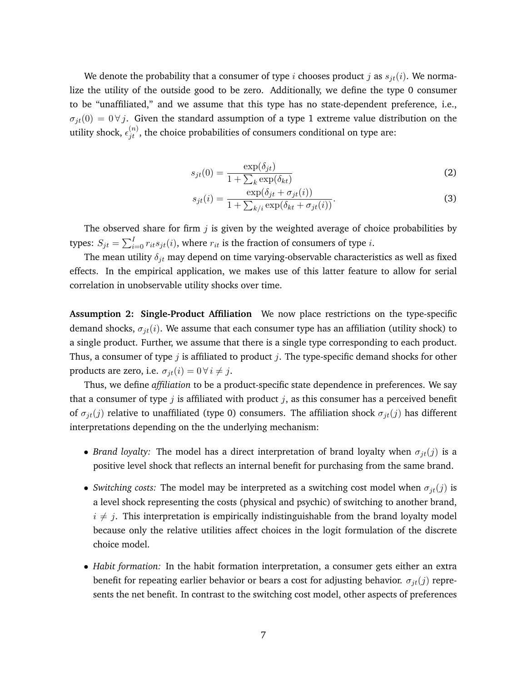We denote the probability that a consumer of type i chooses product j as  $s_{it}(i)$ . We normalize the utility of the outside good to be zero. Additionally, we define the type 0 consumer to be "unaffiliated," and we assume that this type has no state-dependent preference, i.e.,  $\sigma_{it}(0) = 0 \forall j$ . Given the standard assumption of a type 1 extreme value distribution on the utility shock,  $\epsilon_{jt}^{(n)}$ , the choice probabilities of consumers conditional on type are:

$$
s_{jt}(0) = \frac{\exp(\delta_{jt})}{1 + \sum_k \exp(\delta_{kt})}
$$
 (2)

$$
s_{jt}(i) = \frac{\exp(\delta_{jt} + \sigma_{jt}(i))}{1 + \sum_{k/i} \exp(\delta_{kt} + \sigma_{jt}(i))}.
$$
\n(3)

The observed share for firm  $j$  is given by the weighted average of choice probabilities by types:  $S_{jt} = \sum_{i=0}^{I} r_{it} s_{jt}(i)$ , where  $r_{it}$  is the fraction of consumers of type  $i$ .

The mean utility  $\delta_{jt}$  may depend on time varying-observable characteristics as well as fixed effects. In the empirical application, we makes use of this latter feature to allow for serial correlation in unobservable utility shocks over time.

**Assumption 2: Single-Product Affiliation** We now place restrictions on the type-specific demand shocks,  $\sigma_{jt}(i)$ . We assume that each consumer type has an affiliation (utility shock) to a single product. Further, we assume that there is a single type corresponding to each product. Thus, a consumer of type j is affiliated to product j. The type-specific demand shocks for other products are zero, i.e.  $\sigma_{it}(i) = 0 \,\forall i \neq j$ .

Thus, we define *affiliation* to be a product-specific state dependence in preferences. We say that a consumer of type  $j$  is affiliated with product  $j$ , as this consumer has a perceived benefit of  $\sigma_{it}(j)$  relative to unaffiliated (type 0) consumers. The affiliation shock  $\sigma_{jt}(j)$  has different interpretations depending on the the underlying mechanism:

- *Brand loyalty:* The model has a direct interpretation of brand loyalty when  $\sigma_{jt}(j)$  is a positive level shock that reflects an internal benefit for purchasing from the same brand.
- *Switching costs:* The model may be interpreted as a switching cost model when  $\sigma_{it}(j)$  is a level shock representing the costs (physical and psychic) of switching to another brand,  $i \neq j$ . This interpretation is empirically indistinguishable from the brand loyalty model because only the relative utilities affect choices in the logit formulation of the discrete choice model.
- *Habit formation:* In the habit formation interpretation, a consumer gets either an extra benefit for repeating earlier behavior or bears a cost for adjusting behavior.  $\sigma_{it}(j)$  represents the net benefit. In contrast to the switching cost model, other aspects of preferences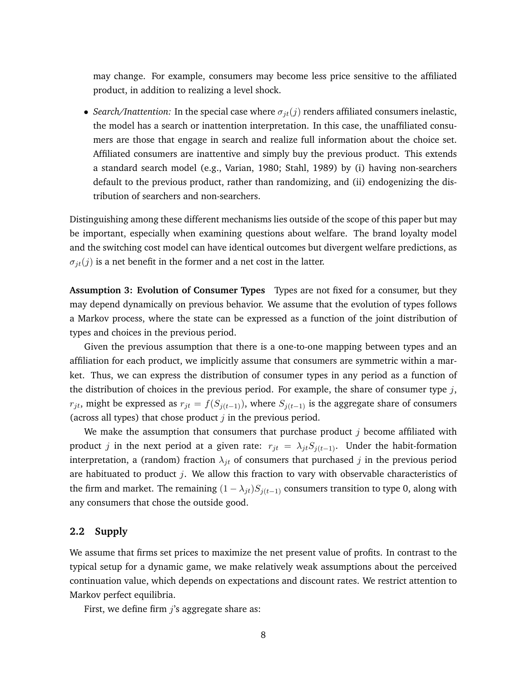may change. For example, consumers may become less price sensitive to the affiliated product, in addition to realizing a level shock.

• *Search/Inattention:* In the special case where  $\sigma_{jt}(j)$  renders affiliated consumers inelastic, the model has a search or inattention interpretation. In this case, the unaffiliated consumers are those that engage in search and realize full information about the choice set. Affiliated consumers are inattentive and simply buy the previous product. This extends a standard search model (e.g., Varian, 1980; Stahl, 1989) by (i) having non-searchers default to the previous product, rather than randomizing, and (ii) endogenizing the distribution of searchers and non-searchers.

Distinguishing among these different mechanisms lies outside of the scope of this paper but may be important, especially when examining questions about welfare. The brand loyalty model and the switching cost model can have identical outcomes but divergent welfare predictions, as  $\sigma_{it}(j)$  is a net benefit in the former and a net cost in the latter.

**Assumption 3: Evolution of Consumer Types** Types are not fixed for a consumer, but they may depend dynamically on previous behavior. We assume that the evolution of types follows a Markov process, where the state can be expressed as a function of the joint distribution of types and choices in the previous period.

Given the previous assumption that there is a one-to-one mapping between types and an affiliation for each product, we implicitly assume that consumers are symmetric within a market. Thus, we can express the distribution of consumer types in any period as a function of the distribution of choices in the previous period. For example, the share of consumer type  $j$ ,  $r_{jt}$ , might be expressed as  $r_{jt} = f(S_{j(t-1)})$ , where  $S_{j(t-1)}$  is the aggregate share of consumers (across all types) that chose product  $j$  in the previous period.

We make the assumption that consumers that purchase product  $j$  become affiliated with product j in the next period at a given rate:  $r_{jt} = \lambda_{jt} S_{i(t-1)}$ . Under the habit-formation interpretation, a (random) fraction  $\lambda_{it}$  of consumers that purchased j in the previous period are habituated to product  $j$ . We allow this fraction to vary with observable characteristics of the firm and market. The remaining  $(1 - \lambda_{jt})S_{j(t-1)}$  consumers transition to type 0, along with any consumers that chose the outside good.

#### **2.2 Supply**

We assume that firms set prices to maximize the net present value of profits. In contrast to the typical setup for a dynamic game, we make relatively weak assumptions about the perceived continuation value, which depends on expectations and discount rates. We restrict attention to Markov perfect equilibria.

First, we define firm  $j$ 's aggregate share as: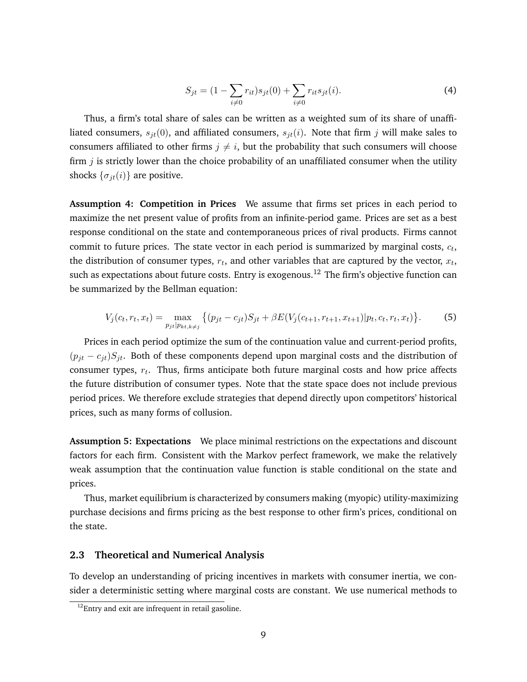$$
S_{jt} = (1 - \sum_{i \neq 0} r_{it}) s_{jt}(0) + \sum_{i \neq 0} r_{it} s_{jt}(i).
$$
 (4)

Thus, a firm's total share of sales can be written as a weighted sum of its share of unaffiliated consumers,  $s_{it}(0)$ , and affiliated consumers,  $s_{it}(i)$ . Note that firm j will make sales to consumers affiliated to other firms  $j \neq i$ , but the probability that such consumers will choose firm  $j$  is strictly lower than the choice probability of an unaffiliated consumer when the utility shocks  $\{\sigma_{it}(i)\}\$ are positive.

**Assumption 4: Competition in Prices** We assume that firms set prices in each period to maximize the net present value of profits from an infinite-period game. Prices are set as a best response conditional on the state and contemporaneous prices of rival products. Firms cannot commit to future prices. The state vector in each period is summarized by marginal costs,  $c_t$ , the distribution of consumer types,  $r_t$ , and other variables that are captured by the vector,  $x_t$ , such as expectations about future costs. Entry is exogenous.<sup>12</sup> The firm's objective function can be summarized by the Bellman equation:

$$
V_j(c_t, r_t, x_t) = \max_{p_{jt}|p_{kt, k \neq j}} \left\{ (p_{jt} - c_{jt})S_{jt} + \beta E(V_j(c_{t+1}, r_{t+1}, x_{t+1})|p_t, c_t, r_t, x_t) \right\}.
$$
 (5)

Prices in each period optimize the sum of the continuation value and current-period profits,  $(p_{it} - c_{it})S_{it}$ . Both of these components depend upon marginal costs and the distribution of consumer types,  $r_t$ . Thus, firms anticipate both future marginal costs and how price affects the future distribution of consumer types. Note that the state space does not include previous period prices. We therefore exclude strategies that depend directly upon competitors' historical prices, such as many forms of collusion.

**Assumption 5: Expectations** We place minimal restrictions on the expectations and discount factors for each firm. Consistent with the Markov perfect framework, we make the relatively weak assumption that the continuation value function is stable conditional on the state and prices.

Thus, market equilibrium is characterized by consumers making (myopic) utility-maximizing purchase decisions and firms pricing as the best response to other firm's prices, conditional on the state.

## **2.3 Theoretical and Numerical Analysis**

To develop an understanding of pricing incentives in markets with consumer inertia, we consider a deterministic setting where marginal costs are constant. We use numerical methods to

 $12$ Entry and exit are infrequent in retail gasoline.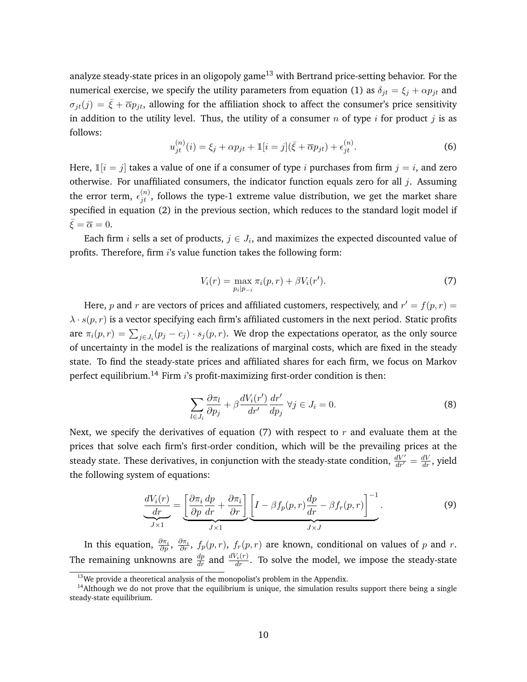analyze steady-state prices in an oligopoly game<sup>13</sup> with Bertrand price-setting behavior. For the numerical exercise, we specify the utility parameters from equation (1) as  $\delta_{jt} = \xi_j + \alpha p_{jt}$  and  $\sigma_{jt}(j) = \bar{\xi} + \bar{\alpha}p_{jt}$ , allowing for the affiliation shock to affect the consumer's price sensitivity in addition to the utility level. Thus, the utility of a consumer n of type i for product j is as follows:

$$
u_{jt}^{(n)}(i) = \xi_j + \alpha p_{jt} + \mathbb{1}[i = j](\bar{\xi} + \overline{\alpha}p_{jt}) + \epsilon_{jt}^{(n)}.
$$
 (6)

Here,  $\mathbb{1}[i = j]$  takes a value of one if a consumer of type i purchases from firm  $j = i$ , and zero otherwise. For unaffiliated consumers, the indicator function equals zero for all  $j$ . Assuming the error term,  $\epsilon_{jt}^{(n)}$ , follows the type-1 extreme value distribution, we get the market share specified in equation (2) in the previous section, which reduces to the standard logit model if  $\bar{\xi} = \overline{\alpha} = 0.$ 

Each firm  $i$  sells a set of products,  $j \in J_i$ , and maximizes the expected discounted value of profits. Therefore, firm i's value function takes the following form:

$$
V_i(r) = \max_{p_i|p_{-i}} \pi_i(p, r) + \beta V_i(r').
$$
\n(7)

Here, p and r are vectors of prices and affiliated customers, respectively, and  $r' = f(p,r) =$  $\lambda \cdot s(p,r)$  is a vector specifying each firm's affiliated customers in the next period. Static profits are  $\pi_i(p,r) = \sum_{j \in J_i} (p_j - c_j) \cdot s_j(p,r)$ . We drop the expectations operator, as the only source of uncertainty in the model is the realizations of marginal costs, which are fixed in the steady state. To find the steady-state prices and affiliated shares for each firm, we focus on Markov perfect equilibrium.<sup>14</sup> Firm  $i$ 's profit-maximizing first-order condition is then:

$$
\sum_{l \in J_i} \frac{\partial \pi_l}{\partial p_j} + \beta \frac{dV_i(r')}{dr'} \frac{dr'}{dp_j} \ \forall j \in J_i = 0. \tag{8}
$$

Next, we specify the derivatives of equation (7) with respect to r and evaluate them at the prices that solve each firm's first-order condition, which will be the prevailing prices at the steady state. These derivatives, in conjunction with the steady-state condition,  $\frac{dV'}{dr'} = \frac{dV}{dr}$ , yield the following system of equations:

$$
\frac{dV_i(r)}{dr} = \underbrace{\left[\frac{\partial \pi_i}{\partial p}\frac{dp}{dr} + \frac{\partial \pi_i}{\partial r}\right]}_{J \times 1} \underbrace{\left[I - \beta f_p(p,r)\frac{dp}{dr} - \beta f_r(p,r)\right]^{-1}}_{J \times J}.
$$
\n(9)

In this equation,  $\frac{\partial \pi_i}{\partial p}$ ,  $\frac{\partial \pi_i}{\partial r}$ ,  $f_p(p,r)$ ,  $f_r(p,r)$  are known, conditional on values of p and r. The remaining unknowns are  $\frac{dp}{dr}$  and  $\frac{dV_i(r)}{dr}$ . To solve the model, we impose the steady-state

 $13$ We provide a theoretical analysis of the monopolist's problem in the Appendix.

 $<sup>14</sup>$ Although we do not prove that the equilibrium is unique, the simulation results support there being a single</sup> steady-state equilibrium.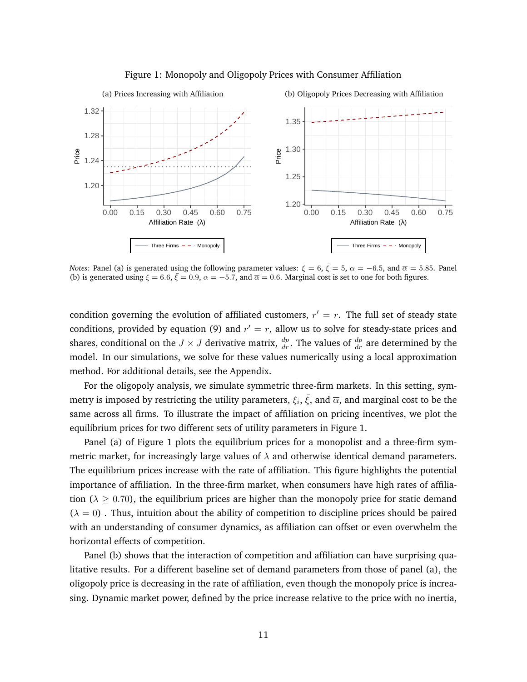

#### Figure 1: Monopoly and Oligopoly Prices with Consumer Affiliation

*Notes:* Panel (a) is generated using the following parameter values:  $\xi = 6$ ,  $\bar{\xi} = 5$ ,  $\alpha = -6.5$ , and  $\bar{\alpha} = 5.85$ . Panel (b) is generated using  $\xi = 6.6$ ,  $\bar{\xi} = 0.9$ ,  $\alpha = -5.7$ , and  $\bar{\alpha} = 0.6$ . Marginal cost is set to one for both figures.

condition governing the evolution of affiliated customers,  $r' = r$ . The full set of steady state conditions, provided by equation (9) and  $r' = r$ , allow us to solve for steady-state prices and shares, conditional on the  $J\times J$  derivative matrix,  $\frac{dp}{dr}$ . The values of  $\frac{dp}{dr}$  are determined by the model. In our simulations, we solve for these values numerically using a local approximation method. For additional details, see the Appendix.

For the oligopoly analysis, we simulate symmetric three-firm markets. In this setting, symmetry is imposed by restricting the utility parameters,  $\xi_i, \bar{\xi},$  and  $\overline{\alpha}$ , and marginal cost to be the same across all firms. To illustrate the impact of affiliation on pricing incentives, we plot the equilibrium prices for two different sets of utility parameters in Figure 1.

Panel (a) of Figure 1 plots the equilibrium prices for a monopolist and a three-firm symmetric market, for increasingly large values of  $\lambda$  and otherwise identical demand parameters. The equilibrium prices increase with the rate of affiliation. This figure highlights the potential importance of affiliation. In the three-firm market, when consumers have high rates of affiliation ( $\lambda \geq 0.70$ ), the equilibrium prices are higher than the monopoly price for static demand  $(\lambda = 0)$ . Thus, intuition about the ability of competition to discipline prices should be paired with an understanding of consumer dynamics, as affiliation can offset or even overwhelm the horizontal effects of competition.

Panel (b) shows that the interaction of competition and affiliation can have surprising qualitative results. For a different baseline set of demand parameters from those of panel (a), the oligopoly price is decreasing in the rate of affiliation, even though the monopoly price is increasing. Dynamic market power, defined by the price increase relative to the price with no inertia,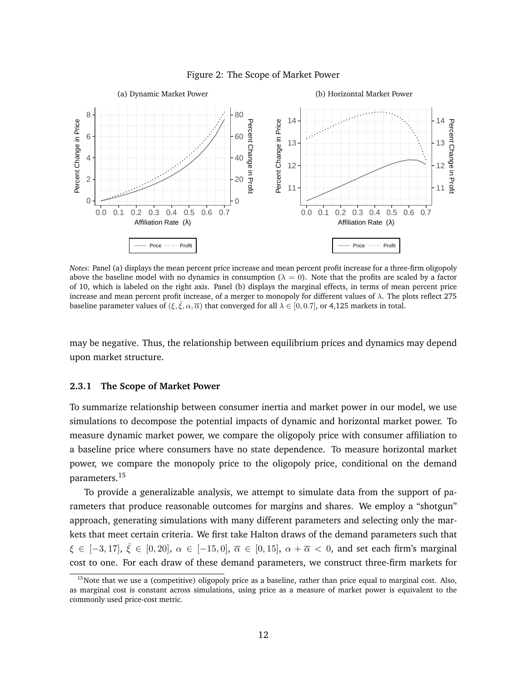

Figure 2: The Scope of Market Power

*Notes:* Panel (a) displays the mean percent price increase and mean percent profit increase for a three-firm oligopoly above the baseline model with no dynamics in consumption ( $\lambda = 0$ ). Note that the profits are scaled by a factor of 10, which is labeled on the right axis. Panel (b) displays the marginal effects, in terms of mean percent price increase and mean percent profit increase, of a merger to monopoly for different values of λ. The plots reflect 275 baseline parameter values of  $(\xi, \overline{\xi}, \alpha, \overline{\alpha})$  that converged for all  $\lambda \in [0, 0.7]$ , or 4,125 markets in total.

may be negative. Thus, the relationship between equilibrium prices and dynamics may depend upon market structure.

#### **2.3.1 The Scope of Market Power**

To summarize relationship between consumer inertia and market power in our model, we use simulations to decompose the potential impacts of dynamic and horizontal market power. To measure dynamic market power, we compare the oligopoly price with consumer affiliation to a baseline price where consumers have no state dependence. To measure horizontal market power, we compare the monopoly price to the oligopoly price, conditional on the demand parameters.<sup>15</sup>

To provide a generalizable analysis, we attempt to simulate data from the support of parameters that produce reasonable outcomes for margins and shares. We employ a "shotgun" approach, generating simulations with many different parameters and selecting only the markets that meet certain criteria. We first take Halton draws of the demand parameters such that  $\xi \in [-3, 17], \overline{\xi} \in [0, 20], \ \alpha \in [-15, 0], \ \overline{\alpha} \in [0, 15], \ \alpha + \overline{\alpha} < 0$ , and set each firm's marginal cost to one. For each draw of these demand parameters, we construct three-firm markets for

<sup>&</sup>lt;sup>15</sup>Note that we use a (competitive) oligopoly price as a baseline, rather than price equal to marginal cost. Also, as marginal cost is constant across simulations, using price as a measure of market power is equivalent to the commonly used price-cost metric.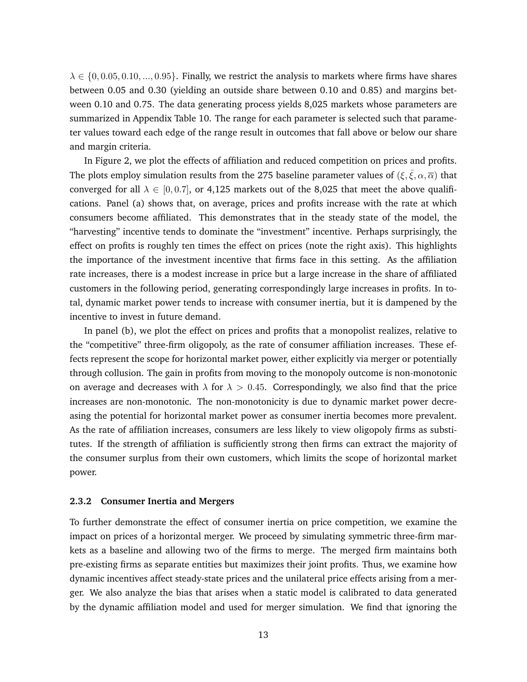$\lambda \in \{0, 0.05, 0.10, ..., 0.95\}$ . Finally, we restrict the analysis to markets where firms have shares between 0.05 and 0.30 (yielding an outside share between 0.10 and 0.85) and margins between 0.10 and 0.75. The data generating process yields 8,025 markets whose parameters are summarized in Appendix Table 10. The range for each parameter is selected such that parameter values toward each edge of the range result in outcomes that fall above or below our share and margin criteria.

In Figure 2, we plot the effects of affiliation and reduced competition on prices and profits. The plots employ simulation results from the 275 baseline parameter values of  $(\xi, \bar{\xi}, \alpha, \bar{\alpha})$  that converged for all  $\lambda \in [0, 0.7]$ , or 4,125 markets out of the 8,025 that meet the above qualifications. Panel (a) shows that, on average, prices and profits increase with the rate at which consumers become affiliated. This demonstrates that in the steady state of the model, the "harvesting" incentive tends to dominate the "investment" incentive. Perhaps surprisingly, the effect on profits is roughly ten times the effect on prices (note the right axis). This highlights the importance of the investment incentive that firms face in this setting. As the affiliation rate increases, there is a modest increase in price but a large increase in the share of affiliated customers in the following period, generating correspondingly large increases in profits. In total, dynamic market power tends to increase with consumer inertia, but it is dampened by the incentive to invest in future demand.

In panel (b), we plot the effect on prices and profits that a monopolist realizes, relative to the "competitive" three-firm oligopoly, as the rate of consumer affiliation increases. These effects represent the scope for horizontal market power, either explicitly via merger or potentially through collusion. The gain in profits from moving to the monopoly outcome is non-monotonic on average and decreases with  $\lambda$  for  $\lambda > 0.45$ . Correspondingly, we also find that the price increases are non-monotonic. The non-monotonicity is due to dynamic market power decreasing the potential for horizontal market power as consumer inertia becomes more prevalent. As the rate of affiliation increases, consumers are less likely to view oligopoly firms as substitutes. If the strength of affiliation is sufficiently strong then firms can extract the majority of the consumer surplus from their own customers, which limits the scope of horizontal market power.

#### **2.3.2 Consumer Inertia and Mergers**

To further demonstrate the effect of consumer inertia on price competition, we examine the impact on prices of a horizontal merger. We proceed by simulating symmetric three-firm markets as a baseline and allowing two of the firms to merge. The merged firm maintains both pre-existing firms as separate entities but maximizes their joint profits. Thus, we examine how dynamic incentives affect steady-state prices and the unilateral price effects arising from a merger. We also analyze the bias that arises when a static model is calibrated to data generated by the dynamic affiliation model and used for merger simulation. We find that ignoring the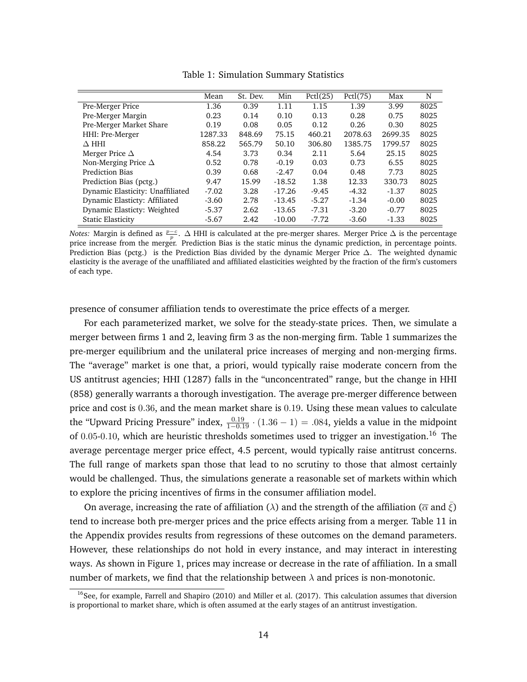|                                  | Mean    | St. Dev. | Min      | Pctl(25) | Pctl(75) | Max     | N    |
|----------------------------------|---------|----------|----------|----------|----------|---------|------|
| Pre-Merger Price                 | 1.36    | 0.39     | 1.11     | 1.15     | 1.39     | 3.99    | 8025 |
| Pre-Merger Margin                | 0.23    | 0.14     | 0.10     | 0.13     | 0.28     | 0.75    | 8025 |
| Pre-Merger Market Share          | 0.19    | 0.08     | 0.05     | 0.12     | 0.26     | 0.30    | 8025 |
| HHI: Pre-Merger                  | 1287.33 | 848.69   | 75.15    | 460.21   | 2078.63  | 2699.35 | 8025 |
| $\Delta$ HHI                     | 858.22  | 565.79   | 50.10    | 306.80   | 1385.75  | 1799.57 | 8025 |
| Merger Price $\Delta$            | 4.54    | 3.73     | 0.34     | 2.11     | 5.64     | 25.15   | 8025 |
| Non-Merging Price $\Delta$       | 0.52    | 0.78     | $-0.19$  | 0.03     | 0.73     | 6.55    | 8025 |
| Prediction Bias                  | 0.39    | 0.68     | $-2.47$  | 0.04     | 0.48     | 7.73    | 8025 |
| Prediction Bias (pctg.)          | 9.47    | 15.99    | $-18.52$ | 1.38     | 12.33    | 330.73  | 8025 |
| Dynamic Elasticity: Unaffiliated | $-7.02$ | 3.28     | $-17.26$ | $-9.45$  | $-4.32$  | $-1.37$ | 8025 |
| Dynamic Elasticty: Affiliated    | $-3.60$ | 2.78     | $-13.45$ | $-5.27$  | $-1.34$  | $-0.00$ | 8025 |
| Dynamic Elasticty: Weighted      | $-5.37$ | 2.62     | $-13.65$ | $-7.31$  | $-3.20$  | $-0.77$ | 8025 |
| <b>Static Elasticity</b>         | $-5.67$ | 2.42     | $-10.00$ | $-7.72$  | $-3.60$  | $-1.33$ | 8025 |

Table 1: Simulation Summary Statistics

*Notes:* Margin is defined as  $\frac{p-c}{p}$ . ∆ HHI is calculated at the pre-merger shares. Merger Price ∆ is the percentage price increase from the merger. Prediction Bias is the static minus the dynamic prediction, in percentage points. Prediction Bias (pctg.) is the Prediction Bias divided by the dynamic Merger Price ∆. The weighted dynamic elasticity is the average of the unaffiliated and affiliated elasticities weighted by the fraction of the firm's customers of each type.

presence of consumer affiliation tends to overestimate the price effects of a merger.

For each parameterized market, we solve for the steady-state prices. Then, we simulate a merger between firms 1 and 2, leaving firm 3 as the non-merging firm. Table 1 summarizes the pre-merger equilibrium and the unilateral price increases of merging and non-merging firms. The "average" market is one that, a priori, would typically raise moderate concern from the US antitrust agencies; HHI (1287) falls in the "unconcentrated" range, but the change in HHI (858) generally warrants a thorough investigation. The average pre-merger difference between price and cost is 0.36, and the mean market share is 0.19. Using these mean values to calculate the "Upward Pricing Pressure" index,  $\frac{0.19}{1-0.19} \cdot (1.36 - 1) = .084$ , yields a value in the midpoint of  $0.05$ -0.10, which are heuristic thresholds sometimes used to trigger an investigation.<sup>16</sup> The average percentage merger price effect, 4.5 percent, would typically raise antitrust concerns. The full range of markets span those that lead to no scrutiny to those that almost certainly would be challenged. Thus, the simulations generate a reasonable set of markets within which to explore the pricing incentives of firms in the consumer affiliation model.

On average, increasing the rate of affiliation ( $\lambda$ ) and the strength of the affiliation ( $\overline{\alpha}$  and  $\xi$ ) tend to increase both pre-merger prices and the price effects arising from a merger. Table 11 in the Appendix provides results from regressions of these outcomes on the demand parameters. However, these relationships do not hold in every instance, and may interact in interesting ways. As shown in Figure 1, prices may increase or decrease in the rate of affiliation. In a small number of markets, we find that the relationship between  $\lambda$  and prices is non-monotonic.

<sup>&</sup>lt;sup>16</sup>See, for example, Farrell and Shapiro (2010) and Miller et al. (2017). This calculation assumes that diversion is proportional to market share, which is often assumed at the early stages of an antitrust investigation.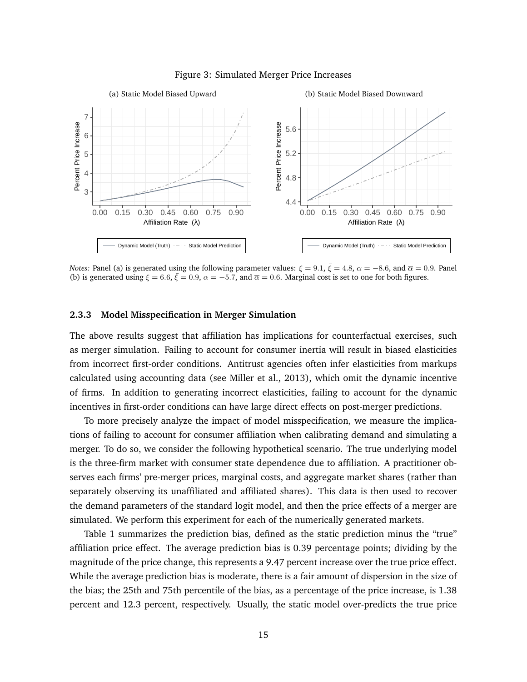

#### Figure 3: Simulated Merger Price Increases

*Notes: Panel (a) is generated using the following parameter values:*  $\xi = 9.1, \bar{\xi} = 4.8, \alpha = -8.6,$  *and*  $\overline{\alpha} = 0.9$ *. Panel* (b) is generated using  $\xi = 6.6$ ,  $\bar{\xi} = 0.9$ ,  $\alpha = -5.7$ , and  $\bar{\alpha} = 0.6$ . Marginal cost is set to one for both figures.

## **2.3.3 Model Misspecification in Merger Simulation**

The above results suggest that affiliation has implications for counterfactual exercises, such as merger simulation. Failing to account for consumer inertia will result in biased elasticities from incorrect first-order conditions. Antitrust agencies often infer elasticities from markups calculated using accounting data (see Miller et al., 2013), which omit the dynamic incentive of firms. In addition to generating incorrect elasticities, failing to account for the dynamic incentives in first-order conditions can have large direct effects on post-merger predictions.

To more precisely analyze the impact of model misspecification, we measure the implications of failing to account for consumer affiliation when calibrating demand and simulating a merger. To do so, we consider the following hypothetical scenario. The true underlying model is the three-firm market with consumer state dependence due to affiliation. A practitioner observes each firms' pre-merger prices, marginal costs, and aggregate market shares (rather than separately observing its unaffiliated and affiliated shares). This data is then used to recover the demand parameters of the standard logit model, and then the price effects of a merger are simulated. We perform this experiment for each of the numerically generated markets.

Table 1 summarizes the prediction bias, defined as the static prediction minus the "true" affiliation price effect. The average prediction bias is 0.39 percentage points; dividing by the magnitude of the price change, this represents a 9.47 percent increase over the true price effect. While the average prediction bias is moderate, there is a fair amount of dispersion in the size of the bias; the 25th and 75th percentile of the bias, as a percentage of the price increase, is 1.38 percent and 12.3 percent, respectively. Usually, the static model over-predicts the true price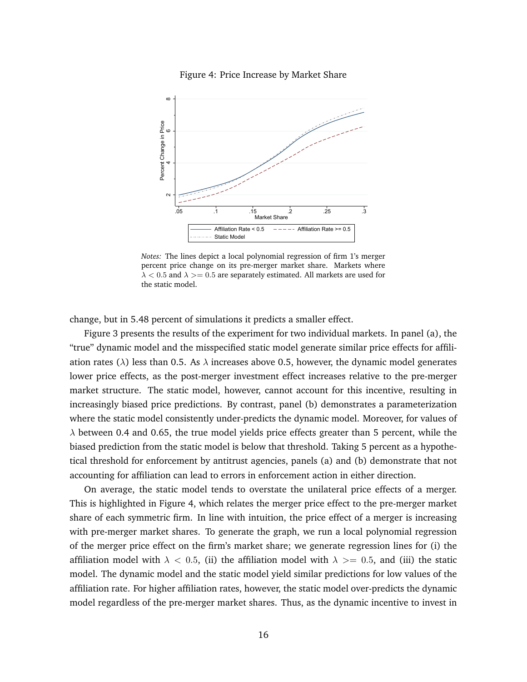

Figure 4: Price Increase by Market Share

*Notes:* The lines depict a local polynomial regression of firm 1's merger percent price change on its pre-merger market share. Markets where  $\lambda$  < 0.5 and  $\lambda$  > = 0.5 are separately estimated. All markets are used for the static model.

change, but in 5.48 percent of simulations it predicts a smaller effect.

Figure 3 presents the results of the experiment for two individual markets. In panel (a), the "true" dynamic model and the misspecified static model generate similar price effects for affiliation rates ( $\lambda$ ) less than 0.5. As  $\lambda$  increases above 0.5, however, the dynamic model generates lower price effects, as the post-merger investment effect increases relative to the pre-merger market structure. The static model, however, cannot account for this incentive, resulting in increasingly biased price predictions. By contrast, panel (b) demonstrates a parameterization where the static model consistently under-predicts the dynamic model. Moreover, for values of  $\lambda$  between 0.4 and 0.65, the true model yields price effects greater than 5 percent, while the biased prediction from the static model is below that threshold. Taking 5 percent as a hypothetical threshold for enforcement by antitrust agencies, panels (a) and (b) demonstrate that not accounting for affiliation can lead to errors in enforcement action in either direction.

On average, the static model tends to overstate the unilateral price effects of a merger. This is highlighted in Figure 4, which relates the merger price effect to the pre-merger market share of each symmetric firm. In line with intuition, the price effect of a merger is increasing with pre-merger market shares. To generate the graph, we run a local polynomial regression of the merger price effect on the firm's market share; we generate regression lines for (i) the affiliation model with  $\lambda$  < 0.5, (ii) the affiliation model with  $\lambda$  >= 0.5, and (iii) the static model. The dynamic model and the static model yield similar predictions for low values of the affiliation rate. For higher affiliation rates, however, the static model over-predicts the dynamic model regardless of the pre-merger market shares. Thus, as the dynamic incentive to invest in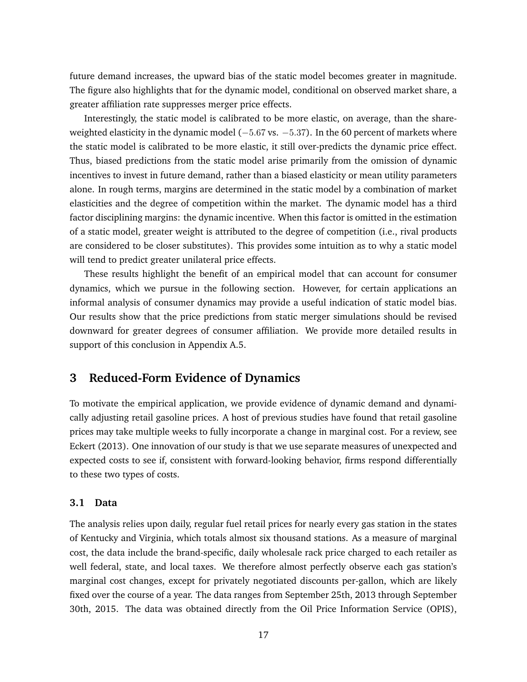future demand increases, the upward bias of the static model becomes greater in magnitude. The figure also highlights that for the dynamic model, conditional on observed market share, a greater affiliation rate suppresses merger price effects.

Interestingly, the static model is calibrated to be more elastic, on average, than the shareweighted elasticity in the dynamic model ( $-5.67$  vs.  $-5.37$ ). In the 60 percent of markets where the static model is calibrated to be more elastic, it still over-predicts the dynamic price effect. Thus, biased predictions from the static model arise primarily from the omission of dynamic incentives to invest in future demand, rather than a biased elasticity or mean utility parameters alone. In rough terms, margins are determined in the static model by a combination of market elasticities and the degree of competition within the market. The dynamic model has a third factor disciplining margins: the dynamic incentive. When this factor is omitted in the estimation of a static model, greater weight is attributed to the degree of competition (i.e., rival products are considered to be closer substitutes). This provides some intuition as to why a static model will tend to predict greater unilateral price effects.

These results highlight the benefit of an empirical model that can account for consumer dynamics, which we pursue in the following section. However, for certain applications an informal analysis of consumer dynamics may provide a useful indication of static model bias. Our results show that the price predictions from static merger simulations should be revised downward for greater degrees of consumer affiliation. We provide more detailed results in support of this conclusion in Appendix A.5.

## **3 Reduced-Form Evidence of Dynamics**

To motivate the empirical application, we provide evidence of dynamic demand and dynamically adjusting retail gasoline prices. A host of previous studies have found that retail gasoline prices may take multiple weeks to fully incorporate a change in marginal cost. For a review, see Eckert (2013). One innovation of our study is that we use separate measures of unexpected and expected costs to see if, consistent with forward-looking behavior, firms respond differentially to these two types of costs.

### **3.1 Data**

The analysis relies upon daily, regular fuel retail prices for nearly every gas station in the states of Kentucky and Virginia, which totals almost six thousand stations. As a measure of marginal cost, the data include the brand-specific, daily wholesale rack price charged to each retailer as well federal, state, and local taxes. We therefore almost perfectly observe each gas station's marginal cost changes, except for privately negotiated discounts per-gallon, which are likely fixed over the course of a year. The data ranges from September 25th, 2013 through September 30th, 2015. The data was obtained directly from the Oil Price Information Service (OPIS),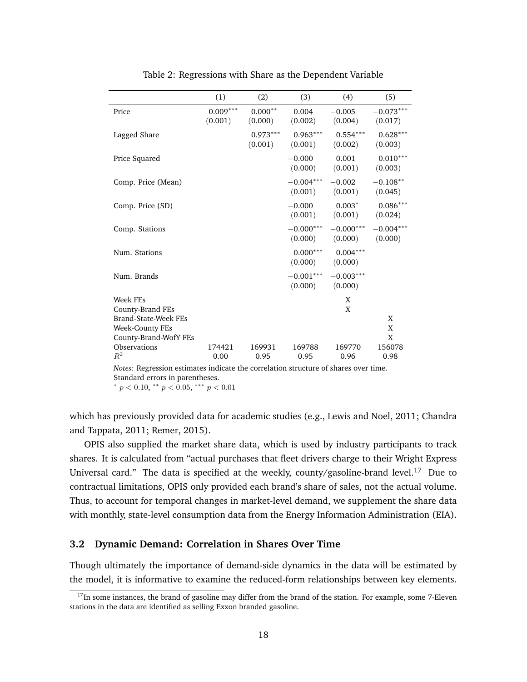|                       | (1)                   | (2)                   | (3)                    | (4)                    | (5)                    |
|-----------------------|-----------------------|-----------------------|------------------------|------------------------|------------------------|
| Price                 | $0.009***$<br>(0.001) | $0.000**$<br>(0.000)  | 0.004<br>(0.002)       | $-0.005$<br>(0.004)    | $-0.073***$<br>(0.017) |
| Lagged Share          |                       | $0.973***$<br>(0.001) | $0.963***$<br>(0.001)  | $0.554***$<br>(0.002)  | $0.628***$<br>(0.003)  |
| Price Squared         |                       |                       | $-0.000$<br>(0.000)    | 0.001<br>(0.001)       | $0.010***$<br>(0.003)  |
| Comp. Price (Mean)    |                       |                       | $-0.004***$<br>(0.001) | $-0.002$<br>(0.001)    | $-0.108**$<br>(0.045)  |
| Comp. Price (SD)      |                       |                       | $-0.000$<br>(0.001)    | $0.003*$<br>(0.001)    | $0.086***$<br>(0.024)  |
| Comp. Stations        |                       |                       | $-0.000***$<br>(0.000) | $-0.000***$<br>(0.000) | $-0.004***$<br>(0.000) |
| Num. Stations         |                       |                       | $0.000***$<br>(0.000)  | $0.004***$<br>(0.000)  |                        |
| Num. Brands           |                       |                       | $-0.001***$<br>(0.000) | $-0.003***$<br>(0.000) |                        |
| Week FEs              |                       |                       |                        | X                      |                        |
| County-Brand FEs      |                       |                       |                        | X                      |                        |
| Brand-State-Week FEs  |                       |                       |                        |                        | X                      |
| Week-County FEs       |                       |                       |                        |                        | X                      |
| County-Brand-WofY FEs |                       |                       |                        |                        | X                      |
| Observations          | 174421                | 169931                | 169788                 | 169770                 | 156078                 |
| $R^2$                 | 0.00                  | 0.95                  | 0.95                   | 0.96                   | 0.98                   |

Table 2: Regressions with Share as the Dependent Variable

*Notes:* Regression estimates indicate the correlation structure of shares over time. Standard errors in parentheses.

\*  $p < 0.10$ , \*\*  $p < 0.05$ , \*\*\*  $p < 0.01$ 

which has previously provided data for academic studies (e.g., Lewis and Noel, 2011; Chandra and Tappata, 2011; Remer, 2015).

OPIS also supplied the market share data, which is used by industry participants to track shares. It is calculated from "actual purchases that fleet drivers charge to their Wright Express Universal card." The data is specified at the weekly, county/gasoline-brand level.<sup>17</sup> Due to contractual limitations, OPIS only provided each brand's share of sales, not the actual volume. Thus, to account for temporal changes in market-level demand, we supplement the share data with monthly, state-level consumption data from the Energy Information Administration (EIA).

### **3.2 Dynamic Demand: Correlation in Shares Over Time**

Though ultimately the importance of demand-side dynamics in the data will be estimated by the model, it is informative to examine the reduced-form relationships between key elements.

 $17$ In some instances, the brand of gasoline may differ from the brand of the station. For example, some 7-Eleven stations in the data are identified as selling Exxon branded gasoline.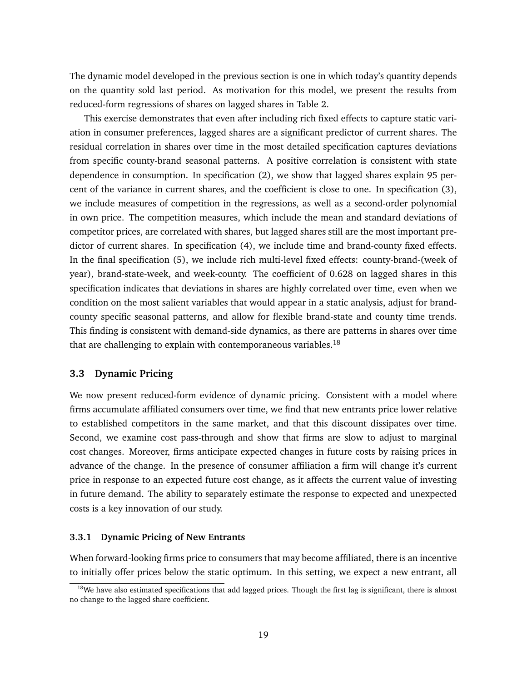The dynamic model developed in the previous section is one in which today's quantity depends on the quantity sold last period. As motivation for this model, we present the results from reduced-form regressions of shares on lagged shares in Table 2.

This exercise demonstrates that even after including rich fixed effects to capture static variation in consumer preferences, lagged shares are a significant predictor of current shares. The residual correlation in shares over time in the most detailed specification captures deviations from specific county-brand seasonal patterns. A positive correlation is consistent with state dependence in consumption. In specification (2), we show that lagged shares explain 95 percent of the variance in current shares, and the coefficient is close to one. In specification (3), we include measures of competition in the regressions, as well as a second-order polynomial in own price. The competition measures, which include the mean and standard deviations of competitor prices, are correlated with shares, but lagged shares still are the most important predictor of current shares. In specification (4), we include time and brand-county fixed effects. In the final specification (5), we include rich multi-level fixed effects: county-brand-(week of year), brand-state-week, and week-county. The coefficient of 0.628 on lagged shares in this specification indicates that deviations in shares are highly correlated over time, even when we condition on the most salient variables that would appear in a static analysis, adjust for brandcounty specific seasonal patterns, and allow for flexible brand-state and county time trends. This finding is consistent with demand-side dynamics, as there are patterns in shares over time that are challenging to explain with contemporaneous variables.<sup>18</sup>

## **3.3 Dynamic Pricing**

We now present reduced-form evidence of dynamic pricing. Consistent with a model where firms accumulate affiliated consumers over time, we find that new entrants price lower relative to established competitors in the same market, and that this discount dissipates over time. Second, we examine cost pass-through and show that firms are slow to adjust to marginal cost changes. Moreover, firms anticipate expected changes in future costs by raising prices in advance of the change. In the presence of consumer affiliation a firm will change it's current price in response to an expected future cost change, as it affects the current value of investing in future demand. The ability to separately estimate the response to expected and unexpected costs is a key innovation of our study.

#### **3.3.1 Dynamic Pricing of New Entrants**

When forward-looking firms price to consumers that may become affiliated, there is an incentive to initially offer prices below the static optimum. In this setting, we expect a new entrant, all

 $18$ We have also estimated specifications that add lagged prices. Though the first lag is significant, there is almost no change to the lagged share coefficient.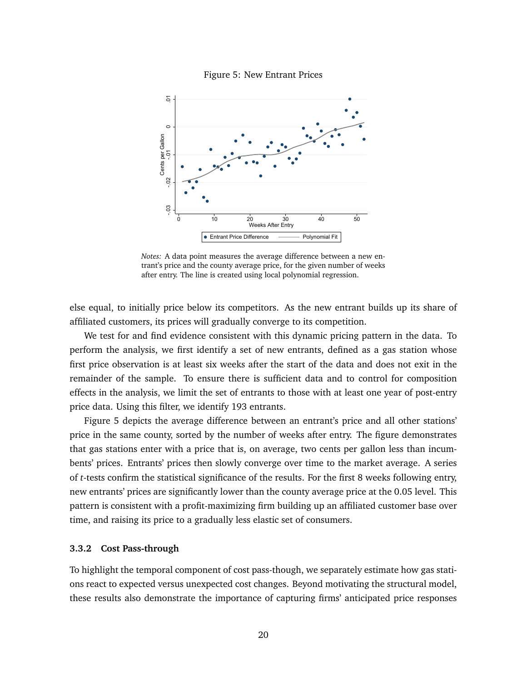



*Notes:* A data point measures the average difference between a new entrant's price and the county average price, for the given number of weeks after entry. The line is created using local polynomial regression.

else equal, to initially price below its competitors. As the new entrant builds up its share of affiliated customers, its prices will gradually converge to its competition.

We test for and find evidence consistent with this dynamic pricing pattern in the data. To perform the analysis, we first identify a set of new entrants, defined as a gas station whose first price observation is at least six weeks after the start of the data and does not exit in the remainder of the sample. To ensure there is sufficient data and to control for composition effects in the analysis, we limit the set of entrants to those with at least one year of post-entry price data. Using this filter, we identify 193 entrants.

Figure 5 depicts the average difference between an entrant's price and all other stations' price in the same county, sorted by the number of weeks after entry. The figure demonstrates that gas stations enter with a price that is, on average, two cents per gallon less than incumbents' prices. Entrants' prices then slowly converge over time to the market average. A series of *t*-tests confirm the statistical significance of the results. For the first 8 weeks following entry, new entrants' prices are significantly lower than the county average price at the 0.05 level. This pattern is consistent with a profit-maximizing firm building up an affiliated customer base over time, and raising its price to a gradually less elastic set of consumers.

#### **3.3.2 Cost Pass-through**

To highlight the temporal component of cost pass-though, we separately estimate how gas stations react to expected versus unexpected cost changes. Beyond motivating the structural model, these results also demonstrate the importance of capturing firms' anticipated price responses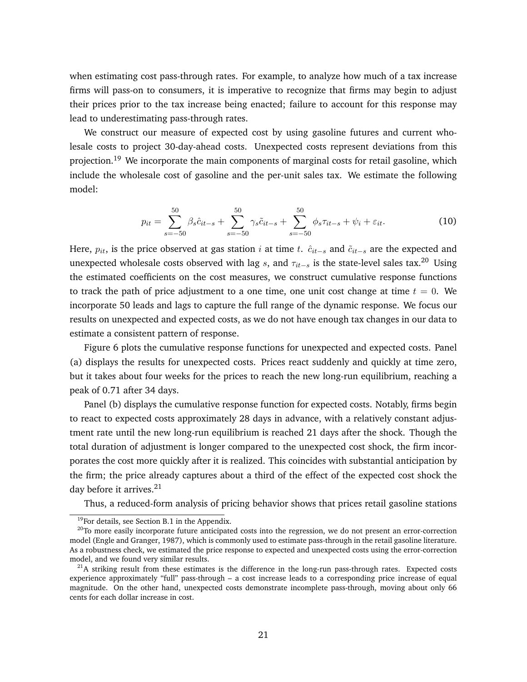when estimating cost pass-through rates. For example, to analyze how much of a tax increase firms will pass-on to consumers, it is imperative to recognize that firms may begin to adjust their prices prior to the tax increase being enacted; failure to account for this response may lead to underestimating pass-through rates.

We construct our measure of expected cost by using gasoline futures and current wholesale costs to project 30-day-ahead costs. Unexpected costs represent deviations from this projection.<sup>19</sup> We incorporate the main components of marginal costs for retail gasoline, which include the wholesale cost of gasoline and the per-unit sales tax. We estimate the following model:

$$
p_{it} = \sum_{s=-50}^{50} \beta_s \hat{c}_{it-s} + \sum_{s=-50}^{50} \gamma_s \tilde{c}_{it-s} + \sum_{s=-50}^{50} \phi_s \tau_{it-s} + \psi_i + \varepsilon_{it}.
$$
 (10)

Here,  $p_{it}$ , is the price observed at gas station *i* at time t.  $\hat{c}_{it-s}$  and  $\tilde{c}_{it-s}$  are the expected and unexpected wholesale costs observed with lag s, and  $\tau_{it-s}$  is the state-level sales tax.<sup>20</sup> Using the estimated coefficients on the cost measures, we construct cumulative response functions to track the path of price adjustment to a one time, one unit cost change at time  $t = 0$ . We incorporate 50 leads and lags to capture the full range of the dynamic response. We focus our results on unexpected and expected costs, as we do not have enough tax changes in our data to estimate a consistent pattern of response.

Figure 6 plots the cumulative response functions for unexpected and expected costs. Panel (a) displays the results for unexpected costs. Prices react suddenly and quickly at time zero, but it takes about four weeks for the prices to reach the new long-run equilibrium, reaching a peak of 0.71 after 34 days.

Panel (b) displays the cumulative response function for expected costs. Notably, firms begin to react to expected costs approximately 28 days in advance, with a relatively constant adjustment rate until the new long-run equilibrium is reached 21 days after the shock. Though the total duration of adjustment is longer compared to the unexpected cost shock, the firm incorporates the cost more quickly after it is realized. This coincides with substantial anticipation by the firm; the price already captures about a third of the effect of the expected cost shock the day before it arrives.<sup>21</sup>

Thus, a reduced-form analysis of pricing behavior shows that prices retail gasoline stations

<sup>&</sup>lt;sup>19</sup>For details, see Section B.1 in the Appendix.

<sup>&</sup>lt;sup>20</sup>To more easily incorporate future anticipated costs into the regression, we do not present an error-correction model (Engle and Granger, 1987), which is commonly used to estimate pass-through in the retail gasoline literature. As a robustness check, we estimated the price response to expected and unexpected costs using the error-correction model, and we found very similar results.

 $^{21}$ A striking result from these estimates is the difference in the long-run pass-through rates. Expected costs experience approximately "full" pass-through – a cost increase leads to a corresponding price increase of equal magnitude. On the other hand, unexpected costs demonstrate incomplete pass-through, moving about only 66 cents for each dollar increase in cost.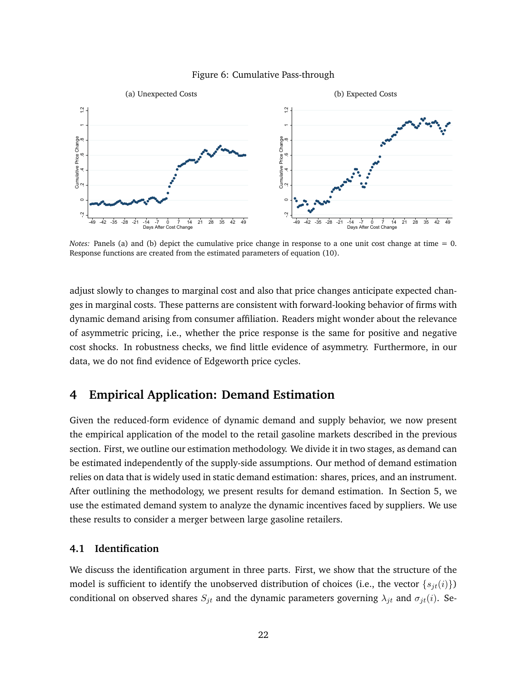#### Figure 6: Cumulative Pass-through



*Notes:* Panels (a) and (b) depict the cumulative price change in response to a one unit cost change at time = 0. Response functions are created from the estimated parameters of equation (10).

adjust slowly to changes to marginal cost and also that price changes anticipate expected changes in marginal costs. These patterns are consistent with forward-looking behavior of firms with dynamic demand arising from consumer affiliation. Readers might wonder about the relevance of asymmetric pricing, i.e., whether the price response is the same for positive and negative cost shocks. In robustness checks, we find little evidence of asymmetry. Furthermore, in our data, we do not find evidence of Edgeworth price cycles.

# **4 Empirical Application: Demand Estimation**

Given the reduced-form evidence of dynamic demand and supply behavior, we now present the empirical application of the model to the retail gasoline markets described in the previous section. First, we outline our estimation methodology. We divide it in two stages, as demand can be estimated independently of the supply-side assumptions. Our method of demand estimation relies on data that is widely used in static demand estimation: shares, prices, and an instrument. After outlining the methodology, we present results for demand estimation. In Section 5, we use the estimated demand system to analyze the dynamic incentives faced by suppliers. We use these results to consider a merger between large gasoline retailers.

## **4.1 Identification**

We discuss the identification argument in three parts. First, we show that the structure of the model is sufficient to identify the unobserved distribution of choices (i.e., the vector  $\{s_{it}(i)\}\$ ) conditional on observed shares  $S_{jt}$  and the dynamic parameters governing  $\lambda_{jt}$  and  $\sigma_{jt}(i)$ . Se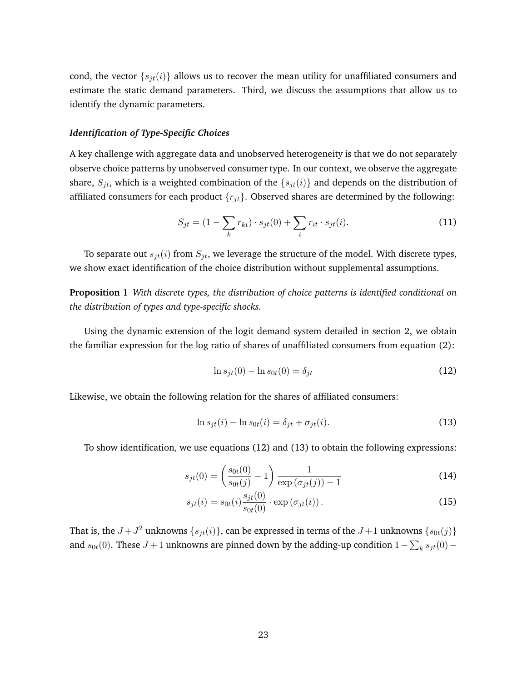cond, the vector  $\{s_{jt}(i)\}\$  allows us to recover the mean utility for unaffiliated consumers and estimate the static demand parameters. Third, we discuss the assumptions that allow us to identify the dynamic parameters.

#### *Identification of Type-Specific Choices*

A key challenge with aggregate data and unobserved heterogeneity is that we do not separately observe choice patterns by unobserved consumer type. In our context, we observe the aggregate share,  $S_{jt}$ , which is a weighted combination of the  $\{s_{jt}(i)\}$  and depends on the distribution of affiliated consumers for each product  $\{r_{jt}\}$ . Observed shares are determined by the following:

$$
S_{jt} = (1 - \sum_{k} r_{kt}) \cdot s_{jt}(0) + \sum_{i} r_{it} \cdot s_{jt}(i).
$$
 (11)

To separate out  $s_{jt}(i)$  from  $S_{jt}$ , we leverage the structure of the model. With discrete types, we show exact identification of the choice distribution without supplemental assumptions.

**Proposition 1** *With discrete types, the distribution of choice patterns is identified conditional on the distribution of types and type-specific shocks.*

Using the dynamic extension of the logit demand system detailed in section 2, we obtain the familiar expression for the log ratio of shares of unaffiliated consumers from equation (2):

$$
\ln s_{jt}(0) - \ln s_{0t}(0) = \delta_{jt} \tag{12}
$$

Likewise, we obtain the following relation for the shares of affiliated consumers:

$$
\ln s_{jt}(i) - \ln s_{0t}(i) = \delta_{jt} + \sigma_{jt}(i). \tag{13}
$$

To show identification, we use equations (12) and (13) to obtain the following expressions:

$$
s_{jt}(0) = \left(\frac{s_{0t}(0)}{s_{0t}(j)} - 1\right) \frac{1}{\exp\left(\sigma_{jt}(j)\right) - 1} \tag{14}
$$

$$
s_{jt}(i) = s_{0t}(i) \frac{s_{jt}(0)}{s_{0t}(0)} \cdot \exp\left(\sigma_{jt}(i)\right). \tag{15}
$$

That is, the  $J + J^2$  unknowns  $\{s_{jt}(i)\}\)$ , can be expressed in terms of the  $J+1$  unknowns  $\{s_{0t}(j)\}\$ and  $s_{0t}(0)$ . These  $J+1$  unknowns are pinned down by the adding-up condition  $1-\sum_k s_{jt}(0)$  –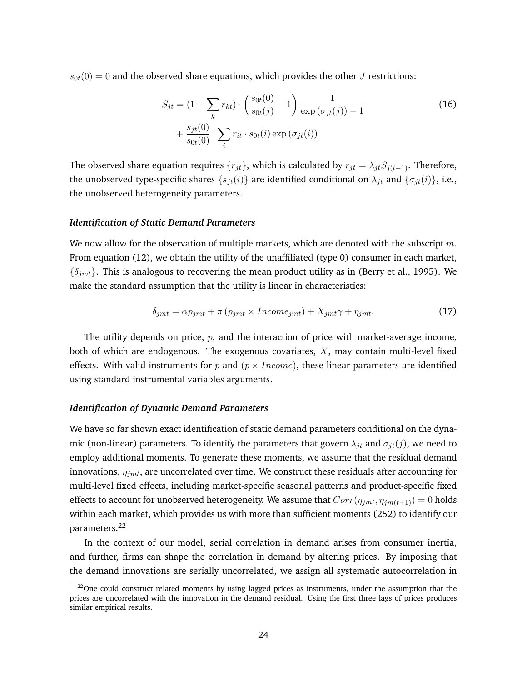$s_{0t}(0) = 0$  and the observed share equations, which provides the other J restrictions:

$$
S_{jt} = (1 - \sum_{k} r_{kt}) \cdot \left(\frac{s_{0t}(0)}{s_{0t}(j)} - 1\right) \frac{1}{\exp\left(\sigma_{jt}(j)\right) - 1} + \frac{s_{jt}(0)}{s_{0t}(0)} \cdot \sum_{i} r_{it} \cdot s_{0t}(i) \exp\left(\sigma_{jt}(i)\right)
$$
\n
$$
(16)
$$

The observed share equation requires  $\{r_{jt}\}\$ , which is calculated by  $r_{jt} = \lambda_{jt}S_{j(t-1)}$ . Therefore, the unobserved type-specific shares  $\{s_{jt}(i)\}\$  are identified conditional on  $\lambda_{jt}$  and  $\{\sigma_{jt}(i)\}\$ , i.e., the unobserved heterogeneity parameters.

#### *Identification of Static Demand Parameters*

We now allow for the observation of multiple markets, which are denoted with the subscript  $m$ . From equation (12), we obtain the utility of the unaffiliated (type 0) consumer in each market,  $\{\delta_{jmt}\}\$ . This is analogous to recovering the mean product utility as in (Berry et al., 1995). We make the standard assumption that the utility is linear in characteristics:

$$
\delta_{jmt} = \alpha p_{jmt} + \pi \left( p_{jmt} \times Income_{jmt} \right) + X_{jmt} \gamma + \eta_{jmt}.\tag{17}
$$

The utility depends on price,  $p$ , and the interaction of price with market-average income, both of which are endogenous. The exogenous covariates,  $X$ , may contain multi-level fixed effects. With valid instruments for p and  $(p \times Income)$ , these linear parameters are identified using standard instrumental variables arguments.

#### *Identification of Dynamic Demand Parameters*

We have so far shown exact identification of static demand parameters conditional on the dynamic (non-linear) parameters. To identify the parameters that govern  $\lambda_{jt}$  and  $\sigma_{jt}(j)$ , we need to employ additional moments. To generate these moments, we assume that the residual demand innovations,  $\eta_{jmt}$ , are uncorrelated over time. We construct these residuals after accounting for multi-level fixed effects, including market-specific seasonal patterns and product-specific fixed effects to account for unobserved heterogeneity. We assume that  $Corr(\eta_{jmt}, \eta_{jmt(t+1)}) = 0$  holds within each market, which provides us with more than sufficient moments (252) to identify our parameters.<sup>22</sup>

In the context of our model, serial correlation in demand arises from consumer inertia, and further, firms can shape the correlation in demand by altering prices. By imposing that the demand innovations are serially uncorrelated, we assign all systematic autocorrelation in

 $22$ One could construct related moments by using lagged prices as instruments, under the assumption that the prices are uncorrelated with the innovation in the demand residual. Using the first three lags of prices produces similar empirical results.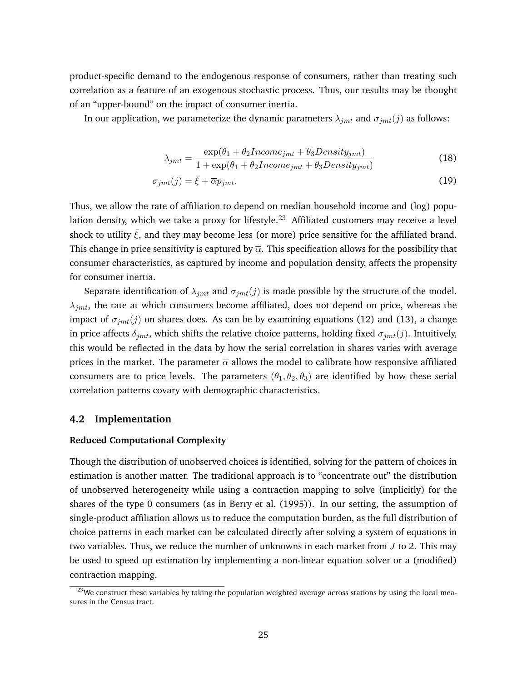product-specific demand to the endogenous response of consumers, rather than treating such correlation as a feature of an exogenous stochastic process. Thus, our results may be thought of an "upper-bound" on the impact of consumer inertia.

In our application, we parameterize the dynamic parameters  $\lambda_{jmt}$  and  $\sigma_{jmt}(j)$  as follows:

$$
\lambda_{jmt} = \frac{\exp(\theta_1 + \theta_2 Income_{jmt} + \theta_3 Density_{jmt})}{1 + \exp(\theta_1 + \theta_2 Income_{jmt} + \theta_3 Density_{jmt})}
$$
(18)

$$
\sigma_{jmt}(j) = \bar{\xi} + \overline{\alpha} p_{jmt}.\tag{19}
$$

Thus, we allow the rate of affiliation to depend on median household income and (log) population density, which we take a proxy for lifestyle.<sup>23</sup> Affiliated customers may receive a level shock to utility  $\bar{\xi}$ , and they may become less (or more) price sensitive for the affiliated brand. This change in price sensitivity is captured by  $\overline{\alpha}$ . This specification allows for the possibility that consumer characteristics, as captured by income and population density, affects the propensity for consumer inertia.

Separate identification of  $\lambda_{jmt}$  and  $\sigma_{jmt}(j)$  is made possible by the structure of the model.  $\lambda_{jmt}$ , the rate at which consumers become affiliated, does not depend on price, whereas the impact of  $\sigma_{jmt}(j)$  on shares does. As can be by examining equations (12) and (13), a change in price affects  $\delta_{jmt}$ , which shifts the relative choice patterns, holding fixed  $\sigma_{jmt}(j)$ . Intuitively, this would be reflected in the data by how the serial correlation in shares varies with average prices in the market. The parameter  $\overline{\alpha}$  allows the model to calibrate how responsive affiliated consumers are to price levels. The parameters  $(\theta_1, \theta_2, \theta_3)$  are identified by how these serial correlation patterns covary with demographic characteristics.

#### **4.2 Implementation**

### **Reduced Computational Complexity**

Though the distribution of unobserved choices is identified, solving for the pattern of choices in estimation is another matter. The traditional approach is to "concentrate out" the distribution of unobserved heterogeneity while using a contraction mapping to solve (implicitly) for the shares of the type 0 consumers (as in Berry et al. (1995)). In our setting, the assumption of single-product affiliation allows us to reduce the computation burden, as the full distribution of choice patterns in each market can be calculated directly after solving a system of equations in two variables. Thus, we reduce the number of unknowns in each market from  $J$  to 2. This may be used to speed up estimation by implementing a non-linear equation solver or a (modified) contraction mapping.

<sup>&</sup>lt;sup>23</sup>We construct these variables by taking the population weighted average across stations by using the local measures in the Census tract.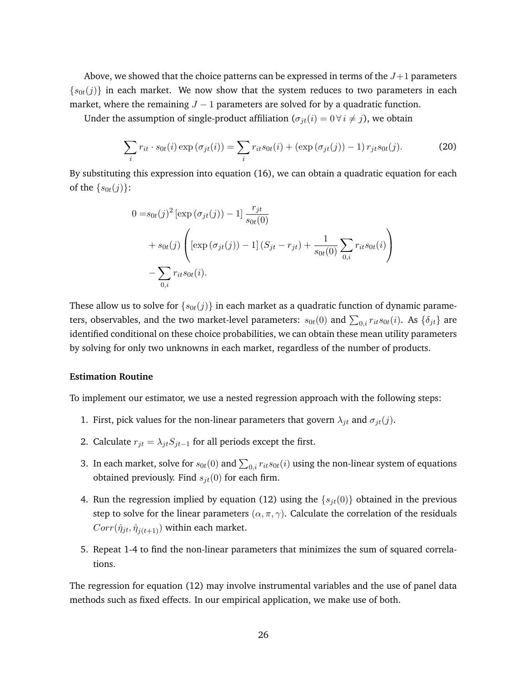Above, we showed that the choice patterns can be expressed in terms of the  $J+1$  parameters  $\{s_{0t}(j)\}\$  in each market. We now show that the system reduces to two parameters in each market, where the remaining  $J - 1$  parameters are solved for by a quadratic function.

Under the assumption of single-product affiliation  $(\sigma_{it}(i) = 0 \ \forall i \neq j)$ , we obtain

$$
\sum_{i} r_{it} \cdot s_{0t}(i) \exp\left(\sigma_{jt}(i)\right) = \sum_{i} r_{it} s_{0t}(i) + \left(\exp\left(\sigma_{jt}(j)\right) - 1\right) r_{jt} s_{0t}(j). \tag{20}
$$

By substituting this expression into equation (16), we can obtain a quadratic equation for each of the  $\{s_{0t}(j)\}\$ :

$$
0 = s_{0t}(j)^{2} [\exp (\sigma_{jt}(j)) - 1] \frac{r_{jt}}{s_{0t}(0)}
$$
  
+  $s_{0t}(j) \left( [\exp (\sigma_{jt}(j)) - 1] (S_{jt} - r_{jt}) + \frac{1}{s_{0t}(0)} \sum_{0,i} r_{it} s_{0t}(i) \right)$   
-  $\sum_{0,i} r_{it} s_{0t}(i).$ 

These allow us to solve for  $\{s_{0t}(j)\}\$  in each market as a quadratic function of dynamic parameters, observables, and the two market-level parameters:  $s_{0t}(0)$  and  $\sum_{0,i} r_{it} s_{0t}(i)$ . As  $\{\delta_{jt}\}$  are identified conditional on these choice probabilities, we can obtain these mean utility parameters by solving for only two unknowns in each market, regardless of the number of products.

#### **Estimation Routine**

To implement our estimator, we use a nested regression approach with the following steps:

- 1. First, pick values for the non-linear parameters that govern  $\lambda_{jt}$  and  $\sigma_{jt}(j)$ .
- 2. Calculate  $r_{jt} = \lambda_{jt} S_{jt-1}$  for all periods except the first.
- 3. In each market, solve for  $s_{0t}(0)$  and  $\sum_{0,i} r_{it} s_{0t}(i)$  using the non-linear system of equations obtained previously. Find  $s_{jt}(0)$  for each firm.
- 4. Run the regression implied by equation (12) using the  $\{s_{jt}(0)\}$  obtained in the previous step to solve for the linear parameters  $(\alpha, \pi, \gamma)$ . Calculate the correlation of the residuals  $Corr(\hat{\eta}_{jt}, \hat{\eta}_{j(t+1)})$  within each market.
- 5. Repeat 1-4 to find the non-linear parameters that minimizes the sum of squared correlations.

The regression for equation (12) may involve instrumental variables and the use of panel data methods such as fixed effects. In our empirical application, we make use of both.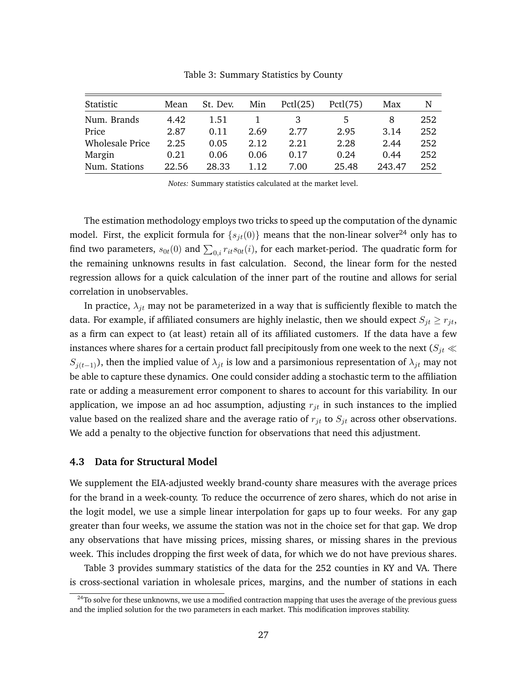| Statistic              | Mean  | St. Dev. | Min  | Pctl(25) | Pctl(75) | Max    | N   |
|------------------------|-------|----------|------|----------|----------|--------|-----|
| Num. Brands            | 4.42  | 1.51     |      |          |          | 8      | 252 |
| Price                  | 2.87  | 0.11     | 2.69 | 2.77     | 2.95     | 3.14   | 252 |
| <b>Wholesale Price</b> | 2.25  | 0.05     | 2.12 | 2.21     | 2.28     | 2.44   | 252 |
| Margin                 | 0.21  | 0.06     | 0.06 | 0.17     | 0.24     | 0.44   | 252 |
| Num. Stations          | 22.56 | 28.33    | 1.12 | 7.00     | 25.48    | 243.47 | 252 |

Table 3: Summary Statistics by County

*Notes:* Summary statistics calculated at the market level.

The estimation methodology employs two tricks to speed up the computation of the dynamic model. First, the explicit formula for  $\{s_{jt}(0)\}\$  means that the non-linear solver<sup>24</sup> only has to find two parameters,  $s_{0t}(0)$  and  $\sum_{0,i} r_{it} s_{0t}(i)$ , for each market-period. The quadratic form for the remaining unknowns results in fast calculation. Second, the linear form for the nested regression allows for a quick calculation of the inner part of the routine and allows for serial correlation in unobservables.

In practice,  $\lambda_{it}$  may not be parameterized in a way that is sufficiently flexible to match the data. For example, if affiliated consumers are highly inelastic, then we should expect  $S_{it} \ge r_{it}$ , as a firm can expect to (at least) retain all of its affiliated customers. If the data have a few instances where shares for a certain product fall precipitously from one week to the next ( $S_{it}$   $\ll$  $S_{j(t-1)}$ ), then the implied value of  $\lambda_{jt}$  is low and a parsimonious representation of  $\lambda_{jt}$  may not be able to capture these dynamics. One could consider adding a stochastic term to the affiliation rate or adding a measurement error component to shares to account for this variability. In our application, we impose an ad hoc assumption, adjusting  $r_{it}$  in such instances to the implied value based on the realized share and the average ratio of  $r_{jt}$  to  $S_{jt}$  across other observations. We add a penalty to the objective function for observations that need this adjustment.

#### **4.3 Data for Structural Model**

We supplement the EIA-adjusted weekly brand-county share measures with the average prices for the brand in a week-county. To reduce the occurrence of zero shares, which do not arise in the logit model, we use a simple linear interpolation for gaps up to four weeks. For any gap greater than four weeks, we assume the station was not in the choice set for that gap. We drop any observations that have missing prices, missing shares, or missing shares in the previous week. This includes dropping the first week of data, for which we do not have previous shares.

Table 3 provides summary statistics of the data for the 252 counties in KY and VA. There is cross-sectional variation in wholesale prices, margins, and the number of stations in each

 $^{24}$ To solve for these unknowns, we use a modified contraction mapping that uses the average of the previous guess and the implied solution for the two parameters in each market. This modification improves stability.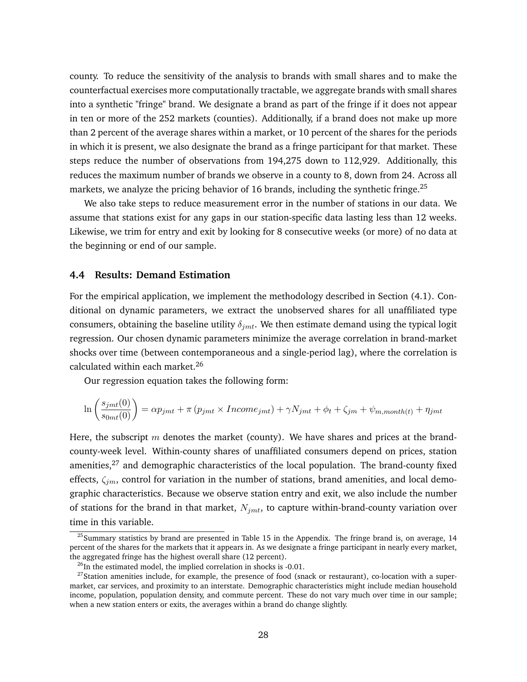county. To reduce the sensitivity of the analysis to brands with small shares and to make the counterfactual exercises more computationally tractable, we aggregate brands with small shares into a synthetic "fringe" brand. We designate a brand as part of the fringe if it does not appear in ten or more of the 252 markets (counties). Additionally, if a brand does not make up more than 2 percent of the average shares within a market, or 10 percent of the shares for the periods in which it is present, we also designate the brand as a fringe participant for that market. These steps reduce the number of observations from 194,275 down to 112,929. Additionally, this reduces the maximum number of brands we observe in a county to 8, down from 24. Across all markets, we analyze the pricing behavior of 16 brands, including the synthetic fringe.<sup>25</sup>

We also take steps to reduce measurement error in the number of stations in our data. We assume that stations exist for any gaps in our station-specific data lasting less than 12 weeks. Likewise, we trim for entry and exit by looking for 8 consecutive weeks (or more) of no data at the beginning or end of our sample.

### **4.4 Results: Demand Estimation**

For the empirical application, we implement the methodology described in Section (4.1). Conditional on dynamic parameters, we extract the unobserved shares for all unaffiliated type consumers, obtaining the baseline utility  $\delta_{imt}$ . We then estimate demand using the typical logit regression. Our chosen dynamic parameters minimize the average correlation in brand-market shocks over time (between contemporaneous and a single-period lag), where the correlation is calculated within each market.<sup>26</sup>

Our regression equation takes the following form:

$$
\ln\left(\frac{s_{jmt}(0)}{s_{0mt}(0)}\right) = \alpha p_{jmt} + \pi \left(p_{jmt} \times Income_{jmt} + \gamma N_{jmt} + \phi_t + \zeta_{jmt} + \psi_{m,month(t)} + \eta_{jmt}\right)
$$

Here, the subscript  $m$  denotes the market (county). We have shares and prices at the brandcounty-week level. Within-county shares of unaffiliated consumers depend on prices, station amenities, $27$  and demographic characteristics of the local population. The brand-county fixed effects,  $\zeta_{im}$ , control for variation in the number of stations, brand amenities, and local demographic characteristics. Because we observe station entry and exit, we also include the number of stations for the brand in that market,  $N_{imt}$ , to capture within-brand-county variation over time in this variable.

<sup>&</sup>lt;sup>25</sup> Summary statistics by brand are presented in Table 15 in the Appendix. The fringe brand is, on average, 14 percent of the shares for the markets that it appears in. As we designate a fringe participant in nearly every market, the aggregated fringe has the highest overall share (12 percent).

 $^{26}$ In the estimated model, the implied correlation in shocks is -0.01.

<sup>&</sup>lt;sup>27</sup>Station amenities include, for example, the presence of food (snack or restaurant), co-location with a supermarket, car services, and proximity to an interstate. Demographic characteristics might include median household income, population, population density, and commute percent. These do not vary much over time in our sample; when a new station enters or exits, the averages within a brand do change slightly.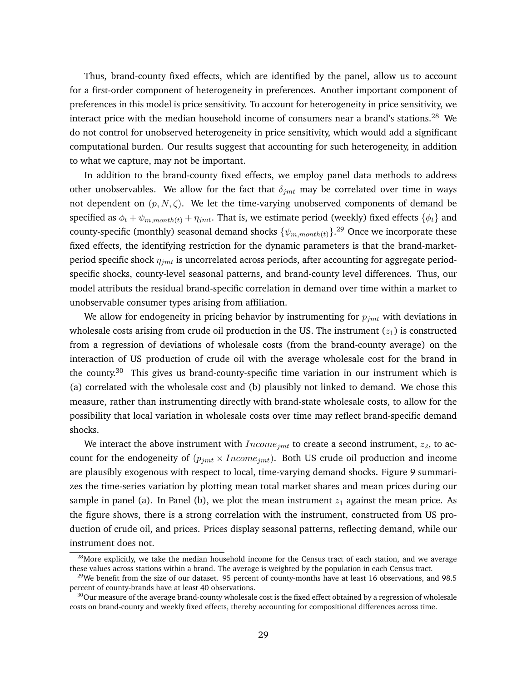Thus, brand-county fixed effects, which are identified by the panel, allow us to account for a first-order component of heterogeneity in preferences. Another important component of preferences in this model is price sensitivity. To account for heterogeneity in price sensitivity, we interact price with the median household income of consumers near a brand's stations.<sup>28</sup> We do not control for unobserved heterogeneity in price sensitivity, which would add a significant computational burden. Our results suggest that accounting for such heterogeneity, in addition to what we capture, may not be important.

In addition to the brand-county fixed effects, we employ panel data methods to address other unobservables. We allow for the fact that  $\delta_{imt}$  may be correlated over time in ways not dependent on  $(p, N, \zeta)$ . We let the time-varying unobserved components of demand be specified as  $\phi_t + \psi_{m,month(t)} + \eta_{jmt}$ . That is, we estimate period (weekly) fixed effects  $\{\phi_t\}$  and county-specific (monthly) seasonal demand shocks  $\{\psi_{m,month(t)}\}$ .<sup>29</sup> Once we incorporate these fixed effects, the identifying restriction for the dynamic parameters is that the brand-marketperiod specific shock  $\eta_{jmt}$  is uncorrelated across periods, after accounting for aggregate periodspecific shocks, county-level seasonal patterns, and brand-county level differences. Thus, our model attributs the residual brand-specific correlation in demand over time within a market to unobservable consumer types arising from affiliation.

We allow for endogeneity in pricing behavior by instrumenting for  $p_{imt}$  with deviations in wholesale costs arising from crude oil production in the US. The instrument  $(z_1)$  is constructed from a regression of deviations of wholesale costs (from the brand-county average) on the interaction of US production of crude oil with the average wholesale cost for the brand in the county. $30$  This gives us brand-county-specific time variation in our instrument which is (a) correlated with the wholesale cost and (b) plausibly not linked to demand. We chose this measure, rather than instrumenting directly with brand-state wholesale costs, to allow for the possibility that local variation in wholesale costs over time may reflect brand-specific demand shocks.

We interact the above instrument with  $Income_{jmt}$  to create a second instrument,  $z_2$ , to account for the endogeneity of  $(p_{jmt} \times Income_{jmt})$ . Both US crude oil production and income are plausibly exogenous with respect to local, time-varying demand shocks. Figure 9 summarizes the time-series variation by plotting mean total market shares and mean prices during our sample in panel (a). In Panel (b), we plot the mean instrument  $z_1$  against the mean price. As the figure shows, there is a strong correlation with the instrument, constructed from US production of crude oil, and prices. Prices display seasonal patterns, reflecting demand, while our instrument does not.

<sup>&</sup>lt;sup>28</sup>More explicitly, we take the median household income for the Census tract of each station, and we average these values across stations within a brand. The average is weighted by the population in each Census tract.

 $^{29}$ We benefit from the size of our dataset. 95 percent of county-months have at least 16 observations, and 98.5 percent of county-brands have at least 40 observations.

 $30$ Our measure of the average brand-county wholesale cost is the fixed effect obtained by a regression of wholesale costs on brand-county and weekly fixed effects, thereby accounting for compositional differences across time.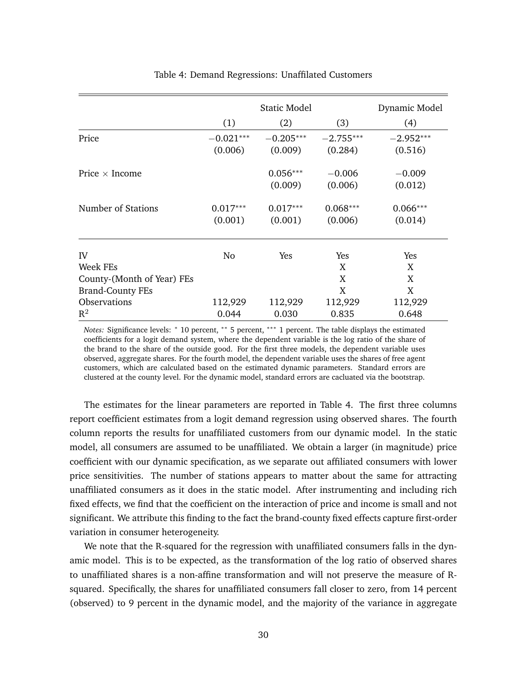|                            |             | Static Model |             | Dynamic Model |
|----------------------------|-------------|--------------|-------------|---------------|
|                            | (1)         | (2)          | (3)         | (4)           |
| Price                      | $-0.021***$ | $-0.205***$  | $-2.755***$ | $-2.952***$   |
|                            | (0.006)     | (0.009)      | (0.284)     | (0.516)       |
| Price $\times$ Income      |             | $0.056***$   | $-0.006$    | $-0.009$      |
|                            |             | (0.009)      | (0.006)     | (0.012)       |
| Number of Stations         | $0.017***$  | $0.017***$   | $0.068***$  | $0.066***$    |
|                            | (0.001)     | (0.001)      | (0.006)     | (0.014)       |
| IV                         | No          | Yes          | Yes         | Yes           |
| Week FEs                   |             |              | X           | X             |
| County-(Month of Year) FEs |             |              | X           | X             |
| <b>Brand-County FEs</b>    |             |              | X           | X             |
| Observations               | 112,929     | 112,929      | 112,929     | 112,929       |
| $\mathbb{R}^2$             | 0.044       | 0.030        | 0.835       | 0.648         |

#### Table 4: Demand Regressions: Unaffilated Customers

*Notes:* Significance levels: <sup>∗</sup> 10 percent, ∗∗ 5 percent, ∗∗∗ 1 percent. The table displays the estimated coefficients for a logit demand system, where the dependent variable is the log ratio of the share of the brand to the share of the outside good. For the first three models, the dependent variable uses observed, aggregate shares. For the fourth model, the dependent variable uses the shares of free agent customers, which are calculated based on the estimated dynamic parameters. Standard errors are clustered at the county level. For the dynamic model, standard errors are cacluated via the bootstrap.

The estimates for the linear parameters are reported in Table 4. The first three columns report coefficient estimates from a logit demand regression using observed shares. The fourth column reports the results for unaffiliated customers from our dynamic model. In the static model, all consumers are assumed to be unaffiliated. We obtain a larger (in magnitude) price coefficient with our dynamic specification, as we separate out affiliated consumers with lower price sensitivities. The number of stations appears to matter about the same for attracting unaffiliated consumers as it does in the static model. After instrumenting and including rich fixed effects, we find that the coefficient on the interaction of price and income is small and not significant. We attribute this finding to the fact the brand-county fixed effects capture first-order variation in consumer heterogeneity.

We note that the R-squared for the regression with unaffiliated consumers falls in the dynamic model. This is to be expected, as the transformation of the log ratio of observed shares to unaffiliated shares is a non-affine transformation and will not preserve the measure of Rsquared. Specifically, the shares for unaffiliated consumers fall closer to zero, from 14 percent (observed) to 9 percent in the dynamic model, and the majority of the variance in aggregate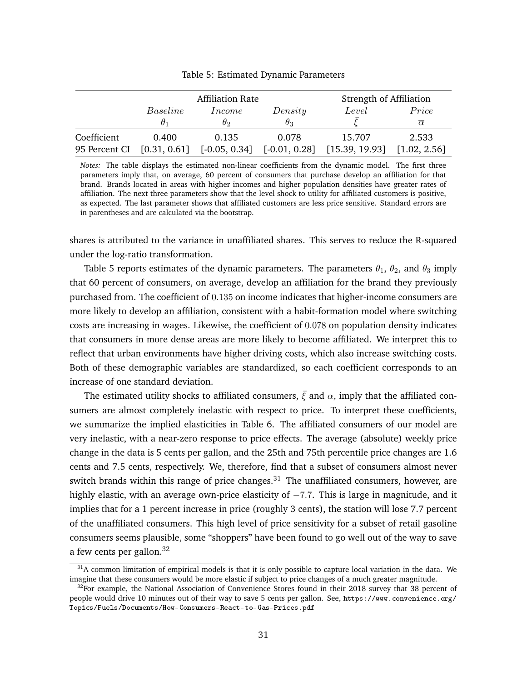|               |              | <b>Affiliation Rate</b> |                 | Strength of Affiliation |              |
|---------------|--------------|-------------------------|-----------------|-------------------------|--------------|
|               | Baseline     | <i>Income</i>           | Density         | Level                   | Price        |
|               |              | θი                      | $\theta_3$      |                         | $\alpha$     |
| Coefficient   | 0.400        | 0.135                   | 0.078           | 15.707                  | 2.533        |
| 95 Percent CI | [0.31, 0.61] | $[-0.05, 0.34]$         | $[-0.01, 0.28]$ | [15.39, 19.93]          | [1.02, 2.56] |

Table 5: Estimated Dynamic Parameters

*Notes:* The table displays the estimated non-linear coefficients from the dynamic model. The first three parameters imply that, on average, 60 percent of consumers that purchase develop an affiliation for that brand. Brands located in areas with higher incomes and higher population densities have greater rates of affiliation. The next three parameters show that the level shock to utility for affiliated customers is positive, as expected. The last parameter shows that affiliated customers are less price sensitive. Standard errors are in parentheses and are calculated via the bootstrap.

shares is attributed to the variance in unaffiliated shares. This serves to reduce the R-squared under the log-ratio transformation.

Table 5 reports estimates of the dynamic parameters. The parameters  $\theta_1$ ,  $\theta_2$ , and  $\theta_3$  imply that 60 percent of consumers, on average, develop an affiliation for the brand they previously purchased from. The coefficient of 0.135 on income indicates that higher-income consumers are more likely to develop an affiliation, consistent with a habit-formation model where switching costs are increasing in wages. Likewise, the coefficient of 0.078 on population density indicates that consumers in more dense areas are more likely to become affiliated. We interpret this to reflect that urban environments have higher driving costs, which also increase switching costs. Both of these demographic variables are standardized, so each coefficient corresponds to an increase of one standard deviation.

The estimated utility shocks to affiliated consumers,  $\bar{\xi}$  and  $\bar{\alpha}$ , imply that the affiliated consumers are almost completely inelastic with respect to price. To interpret these coefficients, we summarize the implied elasticities in Table 6. The affiliated consumers of our model are very inelastic, with a near-zero response to price effects. The average (absolute) weekly price change in the data is 5 cents per gallon, and the 25th and 75th percentile price changes are 1.6 cents and 7.5 cents, respectively. We, therefore, find that a subset of consumers almost never switch brands within this range of price changes.<sup>31</sup> The unaffiliated consumers, however, are highly elastic, with an average own-price elasticity of  $-7.7$ . This is large in magnitude, and it implies that for a 1 percent increase in price (roughly 3 cents), the station will lose 7.7 percent of the unaffiliated consumers. This high level of price sensitivity for a subset of retail gasoline consumers seems plausible, some "shoppers" have been found to go well out of the way to save a few cents per gallon.<sup>32</sup>

 $31A$  common limitation of empirical models is that it is only possible to capture local variation in the data. We imagine that these consumers would be more elastic if subject to price changes of a much greater magnitude.

 $32$ For example, the National Association of Convenience Stores found in their 2018 survey that 38 percent of people would drive 10 minutes out of their way to save 5 cents per gallon. See, https://www.convenience.org/ Topics/Fuels/Documents/How-Consumers-React-to-Gas-Prices.pdf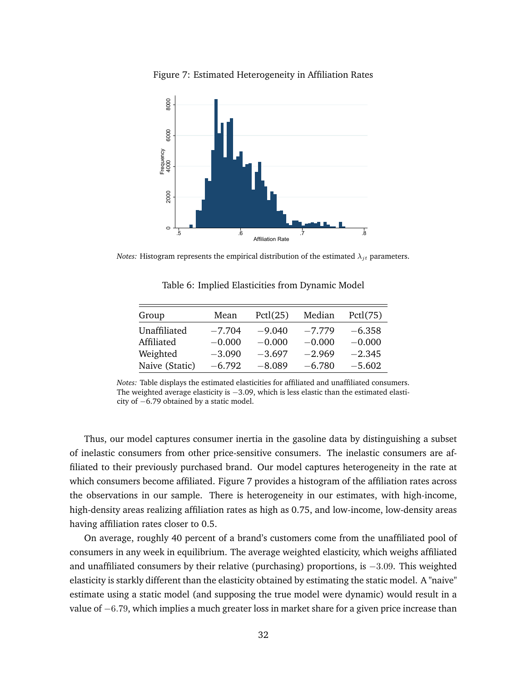Figure 7: Estimated Heterogeneity in Affiliation Rates



*Notes:* Histogram represents the empirical distribution of the estimated  $\lambda_{jt}$  parameters.

| Group          | Mean     | Pctl(25) | Median   | Pctl(75) |
|----------------|----------|----------|----------|----------|
| Unaffiliated   | $-7.704$ | $-9.040$ | $-7.779$ | $-6.358$ |
| Affiliated     | $-0.000$ | $-0.000$ | $-0.000$ | $-0.000$ |
| Weighted       | $-3.090$ | $-3.697$ | $-2.969$ | $-2.345$ |
| Naive (Static) | $-6.792$ | $-8.089$ | $-6.780$ | $-5.602$ |

Table 6: Implied Elasticities from Dynamic Model

Thus, our model captures consumer inertia in the gasoline data by distinguishing a subset of inelastic consumers from other price-sensitive consumers. The inelastic consumers are affiliated to their previously purchased brand. Our model captures heterogeneity in the rate at which consumers become affiliated. Figure 7 provides a histogram of the affiliation rates across the observations in our sample. There is heterogeneity in our estimates, with high-income, high-density areas realizing affiliation rates as high as 0.75, and low-income, low-density areas having affiliation rates closer to 0.5.

On average, roughly 40 percent of a brand's customers come from the unaffiliated pool of consumers in any week in equilibrium. The average weighted elasticity, which weighs affiliated and unaffiliated consumers by their relative (purchasing) proportions, is  $-3.09$ . This weighted elasticity is starkly different than the elasticity obtained by estimating the static model. A "naive" estimate using a static model (and supposing the true model were dynamic) would result in a value of −6.79, which implies a much greater loss in market share for a given price increase than

*Notes:* Table displays the estimated elasticities for affiliated and unaffiliated consumers. The weighted average elasticity is −3.09, which is less elastic than the estimated elasticity of −6.79 obtained by a static model.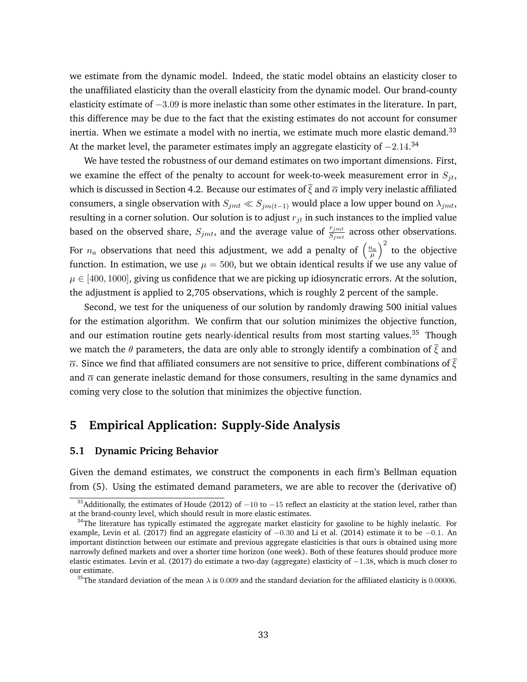we estimate from the dynamic model. Indeed, the static model obtains an elasticity closer to the unaffiliated elasticity than the overall elasticity from the dynamic model. Our brand-county elasticity estimate of  $-3.09$  is more inelastic than some other estimates in the literature. In part, this difference may be due to the fact that the existing estimates do not account for consumer inertia. When we estimate a model with no inertia, we estimate much more elastic demand.<sup>33</sup> At the market level, the parameter estimates imply an aggregate elasticity of  $-2.14$ .<sup>34</sup>

We have tested the robustness of our demand estimates on two important dimensions. First, we examine the effect of the penalty to account for week-to-week measurement error in  $S_{it}$ , which is discussed in Section 4.2. Because our estimates of  $\bar{\xi}$  and  $\bar{\alpha}$  imply very inelastic affiliated consumers, a single observation with  $S_{jmt} \ll S_{im(t-1)}$  would place a low upper bound on  $\lambda_{jmt}$ , resulting in a corner solution. Our solution is to adjust  $r_{jt}$  in such instances to the implied value based on the observed share,  $S_{jmt}$ , and the average value of  $\frac{r_{jmt}}{S_{jmt}}$  across other observations. For  $n_a$  observations that need this adjustment, we add a penalty of  $\left(\frac{n_a}{\mu}\right)^2$  to the objective function. In estimation, we use  $\mu = 500$ , but we obtain identical results if we use any value of  $\mu \in [400, 1000]$ , giving us confidence that we are picking up idiosyncratic errors. At the solution, the adjustment is applied to 2,705 observations, which is roughly 2 percent of the sample.

Second, we test for the uniqueness of our solution by randomly drawing 500 initial values for the estimation algorithm. We confirm that our solution minimizes the objective function, and our estimation routine gets nearly-identical results from most starting values.<sup>35</sup> Though we match the  $\theta$  parameters, the data are only able to strongly identify a combination of  $\bar{\xi}$  and  $\overline{\alpha}$ . Since we find that affiliated consumers are not sensitive to price, different combinations of  $\overline{\xi}$ and  $\bar{\alpha}$  can generate inelastic demand for those consumers, resulting in the same dynamics and coming very close to the solution that minimizes the objective function.

## **5 Empirical Application: Supply-Side Analysis**

#### **5.1 Dynamic Pricing Behavior**

Given the demand estimates, we construct the components in each firm's Bellman equation from (5). Using the estimated demand parameters, we are able to recover the (derivative of)

<sup>&</sup>lt;sup>33</sup>Additionally, the estimates of Houde (2012) of  $-10$  to  $-15$  reflect an elasticity at the station level, rather than at the brand-county level, which should result in more elastic estimates.

 $34$ The literature has typically estimated the aggregate market elasticity for gasoline to be highly inelastic. For example, Levin et al. (2017) find an aggregate elasticity of −0.30 and Li et al. (2014) estimate it to be −0.1. An important distinction between our estimate and previous aggregate elasticities is that ours is obtained using more narrowly defined markets and over a shorter time horizon (one week). Both of these features should produce more elastic estimates. Levin et al. (2017) do estimate a two-day (aggregate) elasticity of  $-1.38$ , which is much closer to our estimate.

<sup>&</sup>lt;sup>35</sup>The standard deviation of the mean  $\lambda$  is 0.009 and the standard deviation for the affiliated elasticity is 0.00006.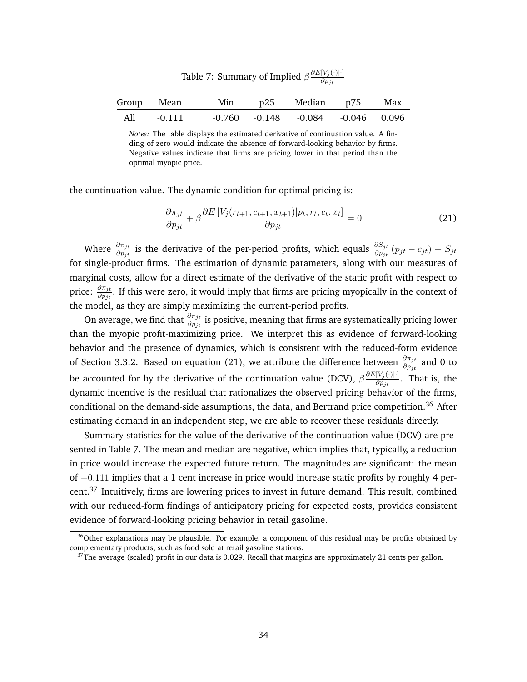|     |            | rable $\lambda$ . building of implied $\beta$ | $\partial p_{it}$                         |     |
|-----|------------|-----------------------------------------------|-------------------------------------------|-----|
|     | Group Mean | Min p25 Median p75                            |                                           | Max |
| All | -0.111     |                                               | $-0.760$ $-0.148$ $-0.084$ $-0.046$ 0.096 |     |

Table 7: Summary of Implied  $\beta \frac{\partial E[V_j(\cdot)| \cdot]}{\partial p_{j,j}}$ 

*Notes:* The table displays the estimated derivative of continuation value. A finding of zero would indicate the absence of forward-looking behavior by firms. Negative values indicate that firms are pricing lower in that period than the optimal myopic price.

the continuation value. The dynamic condition for optimal pricing is:

$$
\frac{\partial \pi_{jt}}{\partial p_{jt}} + \beta \frac{\partial E\left[V_j(r_{t+1}, c_{t+1}, x_{t+1})| p_t, r_t, c_t, x_t\right]}{\partial p_{jt}} = 0
$$
\n(21)

Where  $\frac{\partial \pi_{jt}}{\partial p_{jt}}$  is the derivative of the per-period profits, which equals  $\frac{\partial S_{jt}}{\partial p_{jt}}(p_{jt}-c_{jt})+S_{jt}$ for single-product firms. The estimation of dynamic parameters, along with our measures of marginal costs, allow for a direct estimate of the derivative of the static profit with respect to price:  $\frac{\partial \pi_{jt}}{\partial p_{jt}}$ . If this were zero, it would imply that firms are pricing myopically in the context of the model, as they are simply maximizing the current-period profits.

On average, we find that  $\frac{\partial \pi_{jt}}{\partial p_{jt}}$  is positive, meaning that firms are systematically pricing lower than the myopic profit-maximizing price. We interpret this as evidence of forward-looking behavior and the presence of dynamics, which is consistent with the reduced-form evidence of Section 3.3.2. Based on equation (21), we attribute the difference between  $\frac{\partial \pi_{jt}}{\partial p_{jt}}$  and 0 to be accounted for by the derivative of the continuation value (DCV),  $\beta \frac{\partial E[V_j(\cdot)| \cdot]}{\partial p_{j,j}}$  $\frac{[V_j(\cdot)|\cdot]}{\partial p_{jt}}$ . That is, the dynamic incentive is the residual that rationalizes the observed pricing behavior of the firms, conditional on the demand-side assumptions, the data, and Bertrand price competition.<sup>36</sup> After estimating demand in an independent step, we are able to recover these residuals directly.

Summary statistics for the value of the derivative of the continuation value (DCV) are presented in Table 7. The mean and median are negative, which implies that, typically, a reduction in price would increase the expected future return. The magnitudes are significant: the mean of −0.111 implies that a 1 cent increase in price would increase static profits by roughly 4 percent.<sup>37</sup> Intuitively, firms are lowering prices to invest in future demand. This result, combined with our reduced-form findings of anticipatory pricing for expected costs, provides consistent evidence of forward-looking pricing behavior in retail gasoline.

<sup>&</sup>lt;sup>36</sup>Other explanations may be plausible. For example, a component of this residual may be profits obtained by complementary products, such as food sold at retail gasoline stations.

 $37$ The average (scaled) profit in our data is 0.029. Recall that margins are approximately 21 cents per gallon.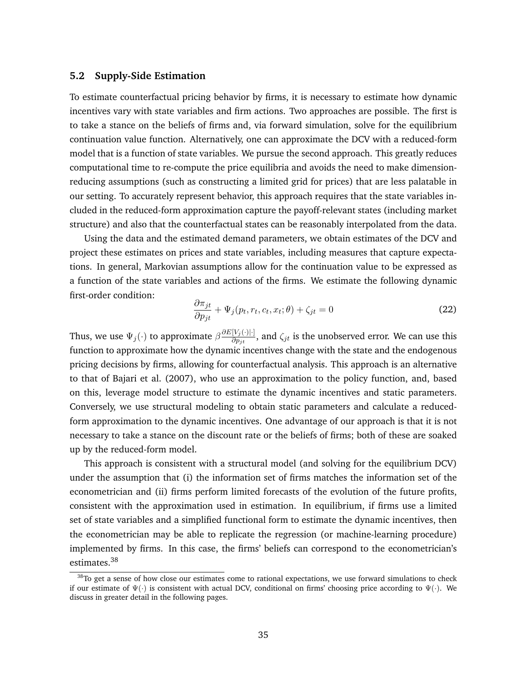## **5.2 Supply-Side Estimation**

To estimate counterfactual pricing behavior by firms, it is necessary to estimate how dynamic incentives vary with state variables and firm actions. Two approaches are possible. The first is to take a stance on the beliefs of firms and, via forward simulation, solve for the equilibrium continuation value function. Alternatively, one can approximate the DCV with a reduced-form model that is a function of state variables. We pursue the second approach. This greatly reduces computational time to re-compute the price equilibria and avoids the need to make dimensionreducing assumptions (such as constructing a limited grid for prices) that are less palatable in our setting. To accurately represent behavior, this approach requires that the state variables included in the reduced-form approximation capture the payoff-relevant states (including market structure) and also that the counterfactual states can be reasonably interpolated from the data.

Using the data and the estimated demand parameters, we obtain estimates of the DCV and project these estimates on prices and state variables, including measures that capture expectations. In general, Markovian assumptions allow for the continuation value to be expressed as a function of the state variables and actions of the firms. We estimate the following dynamic first-order condition:

$$
\frac{\partial \pi_{jt}}{\partial p_{jt}} + \Psi_j(p_t, r_t, c_t, x_t; \theta) + \zeta_{jt} = 0
$$
\n(22)

Thus, we use  $\Psi_j(\cdot)$  to approximate  $\beta \frac{\partial E[V_j(\cdot)|\cdot]}{\partial n_{j\cdot k}}$  $\frac{[\nu_j(\cdot)|\cdot]}{\partial p_{jt}}$ , and  $\zeta_{jt}$  is the unobserved error. We can use this function to approximate how the dynamic incentives change with the state and the endogenous pricing decisions by firms, allowing for counterfactual analysis. This approach is an alternative to that of Bajari et al. (2007), who use an approximation to the policy function, and, based on this, leverage model structure to estimate the dynamic incentives and static parameters. Conversely, we use structural modeling to obtain static parameters and calculate a reducedform approximation to the dynamic incentives. One advantage of our approach is that it is not necessary to take a stance on the discount rate or the beliefs of firms; both of these are soaked up by the reduced-form model.

This approach is consistent with a structural model (and solving for the equilibrium DCV) under the assumption that (i) the information set of firms matches the information set of the econometrician and (ii) firms perform limited forecasts of the evolution of the future profits, consistent with the approximation used in estimation. In equilibrium, if firms use a limited set of state variables and a simplified functional form to estimate the dynamic incentives, then the econometrician may be able to replicate the regression (or machine-learning procedure) implemented by firms. In this case, the firms' beliefs can correspond to the econometrician's estimates.<sup>38</sup>

<sup>&</sup>lt;sup>38</sup>To get a sense of how close our estimates come to rational expectations, we use forward simulations to check if our estimate of  $\Psi(\cdot)$  is consistent with actual DCV, conditional on firms' choosing price according to  $\Psi(\cdot)$ . We discuss in greater detail in the following pages.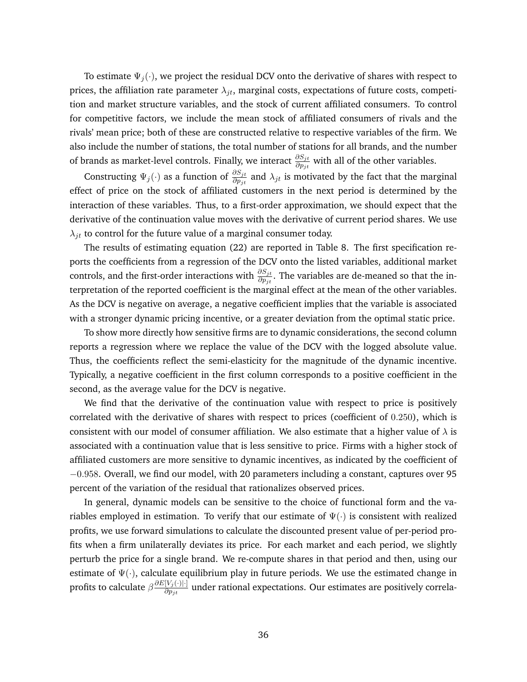To estimate  $\Psi_j(\cdot)$ , we project the residual DCV onto the derivative of shares with respect to prices, the affiliation rate parameter  $\lambda_{jt}$ , marginal costs, expectations of future costs, competition and market structure variables, and the stock of current affiliated consumers. To control for competitive factors, we include the mean stock of affiliated consumers of rivals and the rivals' mean price; both of these are constructed relative to respective variables of the firm. We also include the number of stations, the total number of stations for all brands, and the number of brands as market-level controls. Finally, we interact  $\frac{\partial S_{jt}}{\partial p_{jt}}$  with all of the other variables.

Constructing  $\Psi_j(\cdot)$  as a function of  $\frac{\partial S_{jt}}{\partial p_{jt}}$  and  $\lambda_{jt}$  is motivated by the fact that the marginal effect of price on the stock of affiliated customers in the next period is determined by the interaction of these variables. Thus, to a first-order approximation, we should expect that the derivative of the continuation value moves with the derivative of current period shares. We use  $\lambda_{jt}$  to control for the future value of a marginal consumer today.

The results of estimating equation (22) are reported in Table 8. The first specification reports the coefficients from a regression of the DCV onto the listed variables, additional market controls, and the first-order interactions with  $\frac{\partial S_{jt}}{\partial p_{jt}}$ . The variables are de-meaned so that the interpretation of the reported coefficient is the marginal effect at the mean of the other variables. As the DCV is negative on average, a negative coefficient implies that the variable is associated with a stronger dynamic pricing incentive, or a greater deviation from the optimal static price.

To show more directly how sensitive firms are to dynamic considerations, the second column reports a regression where we replace the value of the DCV with the logged absolute value. Thus, the coefficients reflect the semi-elasticity for the magnitude of the dynamic incentive. Typically, a negative coefficient in the first column corresponds to a positive coefficient in the second, as the average value for the DCV is negative.

We find that the derivative of the continuation value with respect to price is positively correlated with the derivative of shares with respect to prices (coefficient of 0.250), which is consistent with our model of consumer affiliation. We also estimate that a higher value of  $\lambda$  is associated with a continuation value that is less sensitive to price. Firms with a higher stock of affiliated customers are more sensitive to dynamic incentives, as indicated by the coefficient of −0.958. Overall, we find our model, with 20 parameters including a constant, captures over 95 percent of the variation of the residual that rationalizes observed prices.

In general, dynamic models can be sensitive to the choice of functional form and the variables employed in estimation. To verify that our estimate of  $\Psi(\cdot)$  is consistent with realized profits, we use forward simulations to calculate the discounted present value of per-period profits when a firm unilaterally deviates its price. For each market and each period, we slightly perturb the price for a single brand. We re-compute shares in that period and then, using our estimate of  $\Psi(\cdot)$ , calculate equilibrium play in future periods. We use the estimated change in profits to calculate  $\beta \frac{\partial E[V_j(\cdot)|\cdot]}{\partial p}$  $\frac{[V_j(\cdot)|\cdot]}{\partial p_{jt}}$  under rational expectations. Our estimates are positively correla-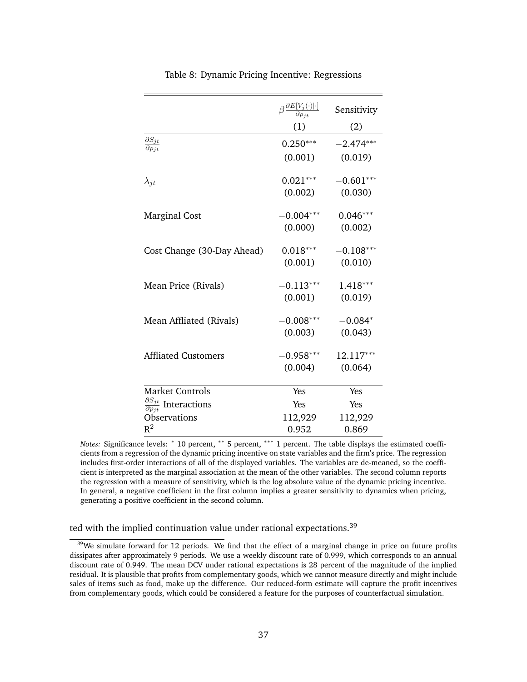|                                                        | $\beta \frac{\partial E[V_j(\cdot) \cdot]}{\partial p_{it}}$ | Sensitivity |
|--------------------------------------------------------|--------------------------------------------------------------|-------------|
|                                                        | (1)                                                          | (2)         |
| $\partial S_{jt}$<br>$\overline{\partial p_{it}}$      | $0.250***$                                                   | $-2.474***$ |
|                                                        | (0.001)                                                      | (0.019)     |
| $\lambda_{jt}$                                         | $0.021***$                                                   | $-0.601***$ |
|                                                        | (0.002)                                                      | (0.030)     |
| <b>Marginal Cost</b>                                   | $-0.004***$                                                  | $0.046***$  |
|                                                        | (0.000)                                                      | (0.002)     |
| Cost Change (30-Day Ahead)                             | $0.018***$                                                   | $-0.108***$ |
|                                                        | (0.001)                                                      | (0.010)     |
| Mean Price (Rivals)                                    | $-0.113***$                                                  | $1.418***$  |
|                                                        | (0.001)                                                      | (0.019)     |
| Mean Affliated (Rivals)                                | $-0.008***$                                                  | $-0.084*$   |
|                                                        | (0.003)                                                      | (0.043)     |
| <b>Affliated Customers</b>                             | $-0.958***$                                                  | 12.117***   |
|                                                        | (0.004)                                                      | (0.064)     |
| Market Controls                                        | Yes                                                          | Yes         |
| $\frac{\partial S_{jt}}{\partial p_{jt}}$ Interactions | Yes                                                          | Yes         |
| Observations                                           | 112,929                                                      | 112,929     |
| $\rm R^2$                                              | 0.952                                                        | 0.869       |

Table 8: Dynamic Pricing Incentive: Regressions

*Notes:* Significance levels: \* 10 percent, \*\* 5 percent, \*\*\* 1 percent. The table displays the estimated coefficients from a regression of the dynamic pricing incentive on state variables and the firm's price. The regression includes first-order interactions of all of the displayed variables. The variables are de-meaned, so the coefficient is interpreted as the marginal association at the mean of the other variables. The second column reports the regression with a measure of sensitivity, which is the log absolute value of the dynamic pricing incentive. In general, a negative coefficient in the first column implies a greater sensitivity to dynamics when pricing, generating a positive coefficient in the second column.

## ted with the implied continuation value under rational expectations.<sup>39</sup>

<sup>&</sup>lt;sup>39</sup>We simulate forward for 12 periods. We find that the effect of a marginal change in price on future profits dissipates after approximately 9 periods. We use a weekly discount rate of 0.999, which corresponds to an annual discount rate of 0.949. The mean DCV under rational expectations is 28 percent of the magnitude of the implied residual. It is plausible that profits from complementary goods, which we cannot measure directly and might include sales of items such as food, make up the difference. Our reduced-form estimate will capture the profit incentives from complementary goods, which could be considered a feature for the purposes of counterfactual simulation.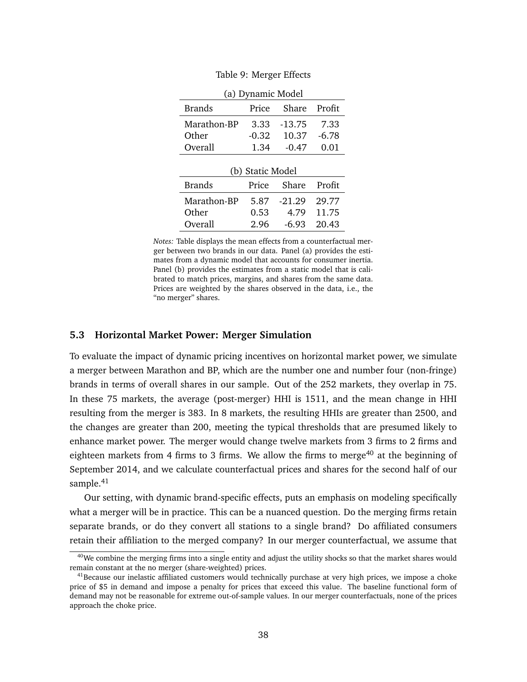|               | (a) Dynamic Model |          |         |  |  |  |
|---------------|-------------------|----------|---------|--|--|--|
| <b>Brands</b> | Price             | Share    | Profit  |  |  |  |
| Marathon-BP   | 3.33              | $-13.75$ | 7.33    |  |  |  |
| Other         | $-0.32$           | 10.37    | $-6.78$ |  |  |  |
| Overall       | 1.34              | $-0.47$  | 0.01    |  |  |  |
|               | (b) Static Model  |          |         |  |  |  |
| <b>Brands</b> | Price             | Share    | Profit  |  |  |  |
|               |                   |          |         |  |  |  |
| Marathon-BP   | 5.87              | $-21.29$ | 29.77   |  |  |  |
| Other         | 0.53              | 4.79     | 11.75   |  |  |  |

Table 9: Merger Effects

*Notes:* Table displays the mean effects from a counterfactual merger between two brands in our data. Panel (a) provides the estimates from a dynamic model that accounts for consumer inertia. Panel (b) provides the estimates from a static model that is calibrated to match prices, margins, and shares from the same data. Prices are weighted by the shares observed in the data, i.e., the "no merger" shares.

### **5.3 Horizontal Market Power: Merger Simulation**

To evaluate the impact of dynamic pricing incentives on horizontal market power, we simulate a merger between Marathon and BP, which are the number one and number four (non-fringe) brands in terms of overall shares in our sample. Out of the 252 markets, they overlap in 75. In these 75 markets, the average (post-merger) HHI is 1511, and the mean change in HHI resulting from the merger is 383. In 8 markets, the resulting HHIs are greater than 2500, and the changes are greater than 200, meeting the typical thresholds that are presumed likely to enhance market power. The merger would change twelve markets from 3 firms to 2 firms and eighteen markets from 4 firms to 3 firms. We allow the firms to merge<sup>40</sup> at the beginning of September 2014, and we calculate counterfactual prices and shares for the second half of our sample.<sup>41</sup>

Our setting, with dynamic brand-specific effects, puts an emphasis on modeling specifically what a merger will be in practice. This can be a nuanced question. Do the merging firms retain separate brands, or do they convert all stations to a single brand? Do affiliated consumers retain their affiliation to the merged company? In our merger counterfactual, we assume that

 $40$ We combine the merging firms into a single entity and adjust the utility shocks so that the market shares would remain constant at the no merger (share-weighted) prices.

 $41$ Because our inelastic affiliated customers would technically purchase at very high prices, we impose a choke price of \$5 in demand and impose a penalty for prices that exceed this value. The baseline functional form of demand may not be reasonable for extreme out-of-sample values. In our merger counterfactuals, none of the prices approach the choke price.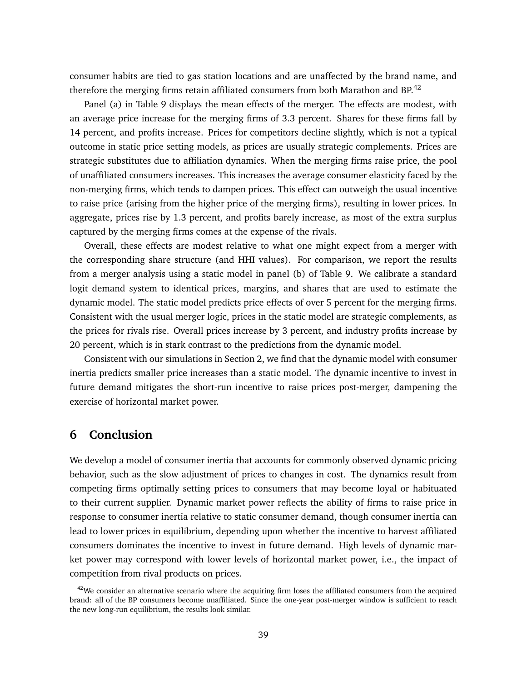consumer habits are tied to gas station locations and are unaffected by the brand name, and therefore the merging firms retain affiliated consumers from both Marathon and BP.<sup>42</sup>

Panel (a) in Table 9 displays the mean effects of the merger. The effects are modest, with an average price increase for the merging firms of 3.3 percent. Shares for these firms fall by 14 percent, and profits increase. Prices for competitors decline slightly, which is not a typical outcome in static price setting models, as prices are usually strategic complements. Prices are strategic substitutes due to affiliation dynamics. When the merging firms raise price, the pool of unaffiliated consumers increases. This increases the average consumer elasticity faced by the non-merging firms, which tends to dampen prices. This effect can outweigh the usual incentive to raise price (arising from the higher price of the merging firms), resulting in lower prices. In aggregate, prices rise by 1.3 percent, and profits barely increase, as most of the extra surplus captured by the merging firms comes at the expense of the rivals.

Overall, these effects are modest relative to what one might expect from a merger with the corresponding share structure (and HHI values). For comparison, we report the results from a merger analysis using a static model in panel (b) of Table 9. We calibrate a standard logit demand system to identical prices, margins, and shares that are used to estimate the dynamic model. The static model predicts price effects of over 5 percent for the merging firms. Consistent with the usual merger logic, prices in the static model are strategic complements, as the prices for rivals rise. Overall prices increase by 3 percent, and industry profits increase by 20 percent, which is in stark contrast to the predictions from the dynamic model.

Consistent with our simulations in Section 2, we find that the dynamic model with consumer inertia predicts smaller price increases than a static model. The dynamic incentive to invest in future demand mitigates the short-run incentive to raise prices post-merger, dampening the exercise of horizontal market power.

## **6 Conclusion**

We develop a model of consumer inertia that accounts for commonly observed dynamic pricing behavior, such as the slow adjustment of prices to changes in cost. The dynamics result from competing firms optimally setting prices to consumers that may become loyal or habituated to their current supplier. Dynamic market power reflects the ability of firms to raise price in response to consumer inertia relative to static consumer demand, though consumer inertia can lead to lower prices in equilibrium, depending upon whether the incentive to harvest affiliated consumers dominates the incentive to invest in future demand. High levels of dynamic market power may correspond with lower levels of horizontal market power, i.e., the impact of competition from rival products on prices.

 $42$ We consider an alternative scenario where the acquiring firm loses the affiliated consumers from the acquired brand: all of the BP consumers become unaffiliated. Since the one-year post-merger window is sufficient to reach the new long-run equilibrium, the results look similar.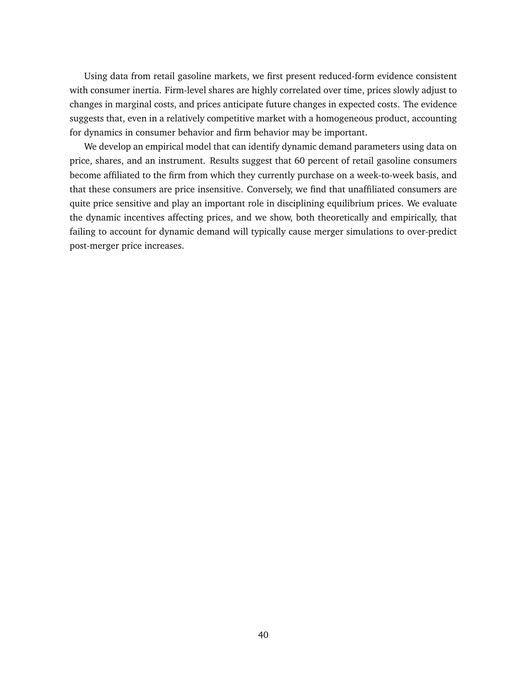Using data from retail gasoline markets, we first present reduced-form evidence consistent with consumer inertia. Firm-level shares are highly correlated over time, prices slowly adjust to changes in marginal costs, and prices anticipate future changes in expected costs. The evidence suggests that, even in a relatively competitive market with a homogeneous product, accounting for dynamics in consumer behavior and firm behavior may be important.

We develop an empirical model that can identify dynamic demand parameters using data on price, shares, and an instrument. Results suggest that 60 percent of retail gasoline consumers become affiliated to the firm from which they currently purchase on a week-to-week basis, and that these consumers are price insensitive. Conversely, we find that unaffiliated consumers are quite price sensitive and play an important role in disciplining equilibrium prices. We evaluate the dynamic incentives affecting prices, and we show, both theoretically and empirically, that failing to account for dynamic demand will typically cause merger simulations to over-predict post-merger price increases.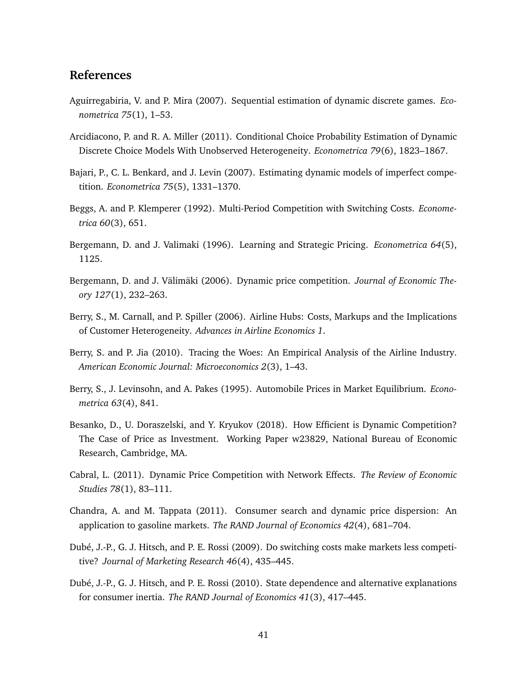## **References**

- Aguirregabiria, V. and P. Mira (2007). Sequential estimation of dynamic discrete games. *Econometrica 75*(1), 1–53.
- Arcidiacono, P. and R. A. Miller (2011). Conditional Choice Probability Estimation of Dynamic Discrete Choice Models With Unobserved Heterogeneity. *Econometrica 79*(6), 1823–1867.
- Bajari, P., C. L. Benkard, and J. Levin (2007). Estimating dynamic models of imperfect competition. *Econometrica 75*(5), 1331–1370.
- Beggs, A. and P. Klemperer (1992). Multi-Period Competition with Switching Costs. *Econometrica 60*(3), 651.
- Bergemann, D. and J. Valimaki (1996). Learning and Strategic Pricing. *Econometrica 64*(5), 1125.
- Bergemann, D. and J. Välimäki (2006). Dynamic price competition. *Journal of Economic Theory 127*(1), 232–263.
- Berry, S., M. Carnall, and P. Spiller (2006). Airline Hubs: Costs, Markups and the Implications of Customer Heterogeneity. *Advances in Airline Economics 1*.
- Berry, S. and P. Jia (2010). Tracing the Woes: An Empirical Analysis of the Airline Industry. *American Economic Journal: Microeconomics 2*(3), 1–43.
- Berry, S., J. Levinsohn, and A. Pakes (1995). Automobile Prices in Market Equilibrium. *Econometrica 63*(4), 841.
- Besanko, D., U. Doraszelski, and Y. Kryukov (2018). How Efficient is Dynamic Competition? The Case of Price as Investment. Working Paper w23829, National Bureau of Economic Research, Cambridge, MA.
- Cabral, L. (2011). Dynamic Price Competition with Network Effects. *The Review of Economic Studies 78*(1), 83–111.
- Chandra, A. and M. Tappata (2011). Consumer search and dynamic price dispersion: An application to gasoline markets. *The RAND Journal of Economics 42*(4), 681–704.
- Dubé, J.-P., G. J. Hitsch, and P. E. Rossi (2009). Do switching costs make markets less competitive? *Journal of Marketing Research 46*(4), 435–445.
- Dubé, J.-P., G. J. Hitsch, and P. E. Rossi (2010). State dependence and alternative explanations for consumer inertia. *The RAND Journal of Economics 41*(3), 417–445.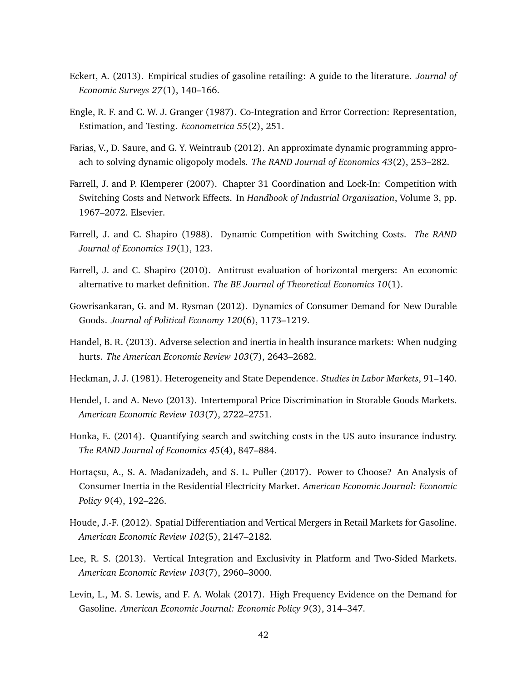- Eckert, A. (2013). Empirical studies of gasoline retailing: A guide to the literature. *Journal of Economic Surveys 27*(1), 140–166.
- Engle, R. F. and C. W. J. Granger (1987). Co-Integration and Error Correction: Representation, Estimation, and Testing. *Econometrica 55*(2), 251.
- Farias, V., D. Saure, and G. Y. Weintraub (2012). An approximate dynamic programming approach to solving dynamic oligopoly models. *The RAND Journal of Economics 43*(2), 253–282.
- Farrell, J. and P. Klemperer (2007). Chapter 31 Coordination and Lock-In: Competition with Switching Costs and Network Effects. In *Handbook of Industrial Organization*, Volume 3, pp. 1967–2072. Elsevier.
- Farrell, J. and C. Shapiro (1988). Dynamic Competition with Switching Costs. *The RAND Journal of Economics 19*(1), 123.
- Farrell, J. and C. Shapiro (2010). Antitrust evaluation of horizontal mergers: An economic alternative to market definition. *The BE Journal of Theoretical Economics 10*(1).
- Gowrisankaran, G. and M. Rysman (2012). Dynamics of Consumer Demand for New Durable Goods. *Journal of Political Economy 120*(6), 1173–1219.
- Handel, B. R. (2013). Adverse selection and inertia in health insurance markets: When nudging hurts. *The American Economic Review 103*(7), 2643–2682.
- Heckman, J. J. (1981). Heterogeneity and State Dependence. *Studies in Labor Markets*, 91–140.
- Hendel, I. and A. Nevo (2013). Intertemporal Price Discrimination in Storable Goods Markets. *American Economic Review 103*(7), 2722–2751.
- Honka, E. (2014). Quantifying search and switching costs in the US auto insurance industry. *The RAND Journal of Economics 45*(4), 847–884.
- Hortaçsu, A., S. A. Madanizadeh, and S. L. Puller (2017). Power to Choose? An Analysis of Consumer Inertia in the Residential Electricity Market. *American Economic Journal: Economic Policy 9*(4), 192–226.
- Houde, J.-F. (2012). Spatial Differentiation and Vertical Mergers in Retail Markets for Gasoline. *American Economic Review 102*(5), 2147–2182.
- Lee, R. S. (2013). Vertical Integration and Exclusivity in Platform and Two-Sided Markets. *American Economic Review 103*(7), 2960–3000.
- Levin, L., M. S. Lewis, and F. A. Wolak (2017). High Frequency Evidence on the Demand for Gasoline. *American Economic Journal: Economic Policy 9*(3), 314–347.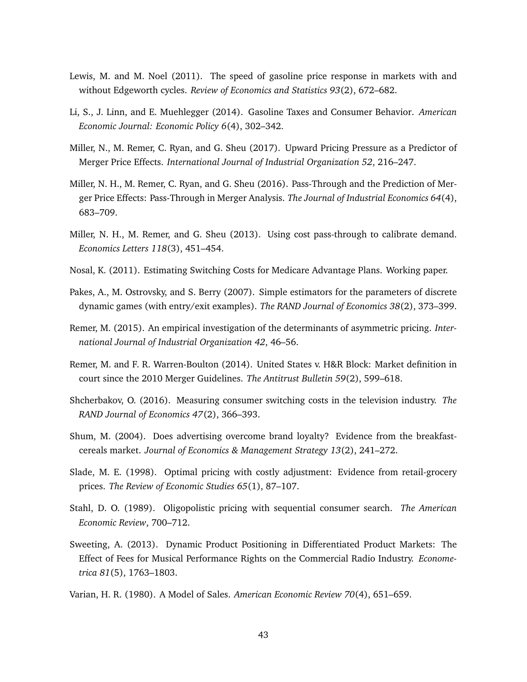- Lewis, M. and M. Noel (2011). The speed of gasoline price response in markets with and without Edgeworth cycles. *Review of Economics and Statistics 93*(2), 672–682.
- Li, S., J. Linn, and E. Muehlegger (2014). Gasoline Taxes and Consumer Behavior. *American Economic Journal: Economic Policy 6*(4), 302–342.
- Miller, N., M. Remer, C. Ryan, and G. Sheu (2017). Upward Pricing Pressure as a Predictor of Merger Price Effects. *International Journal of Industrial Organization 52*, 216–247.
- Miller, N. H., M. Remer, C. Ryan, and G. Sheu (2016). Pass-Through and the Prediction of Merger Price Effects: Pass-Through in Merger Analysis. *The Journal of Industrial Economics 64*(4), 683–709.
- Miller, N. H., M. Remer, and G. Sheu (2013). Using cost pass-through to calibrate demand. *Economics Letters 118*(3), 451–454.
- Nosal, K. (2011). Estimating Switching Costs for Medicare Advantage Plans. Working paper.
- Pakes, A., M. Ostrovsky, and S. Berry (2007). Simple estimators for the parameters of discrete dynamic games (with entry/exit examples). *The RAND Journal of Economics 38*(2), 373–399.
- Remer, M. (2015). An empirical investigation of the determinants of asymmetric pricing. *International Journal of Industrial Organization 42*, 46–56.
- Remer, M. and F. R. Warren-Boulton (2014). United States v. H&R Block: Market definition in court since the 2010 Merger Guidelines. *The Antitrust Bulletin 59*(2), 599–618.
- Shcherbakov, O. (2016). Measuring consumer switching costs in the television industry. *The RAND Journal of Economics 47*(2), 366–393.
- Shum, M. (2004). Does advertising overcome brand loyalty? Evidence from the breakfastcereals market. *Journal of Economics & Management Strategy 13*(2), 241–272.
- Slade, M. E. (1998). Optimal pricing with costly adjustment: Evidence from retail-grocery prices. *The Review of Economic Studies 65*(1), 87–107.
- Stahl, D. O. (1989). Oligopolistic pricing with sequential consumer search. *The American Economic Review*, 700–712.
- Sweeting, A. (2013). Dynamic Product Positioning in Differentiated Product Markets: The Effect of Fees for Musical Performance Rights on the Commercial Radio Industry. *Econometrica 81*(5), 1763–1803.
- Varian, H. R. (1980). A Model of Sales. *American Economic Review 70*(4), 651–659.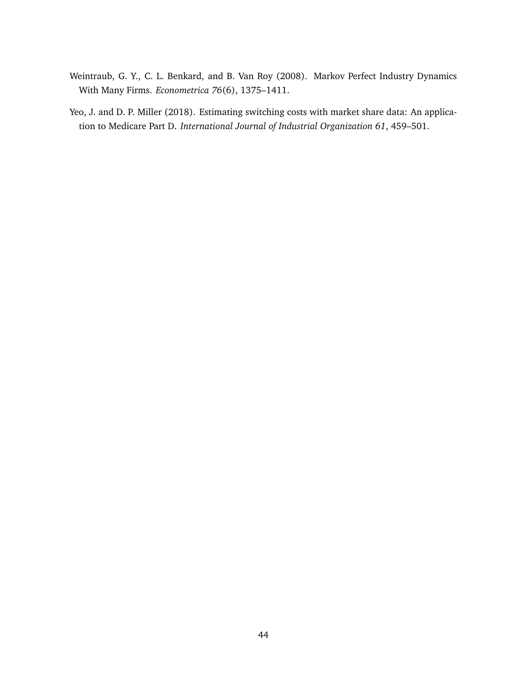- Weintraub, G. Y., C. L. Benkard, and B. Van Roy (2008). Markov Perfect Industry Dynamics With Many Firms. *Econometrica 76*(6), 1375–1411.
- Yeo, J. and D. P. Miller (2018). Estimating switching costs with market share data: An application to Medicare Part D. *International Journal of Industrial Organization 61*, 459–501.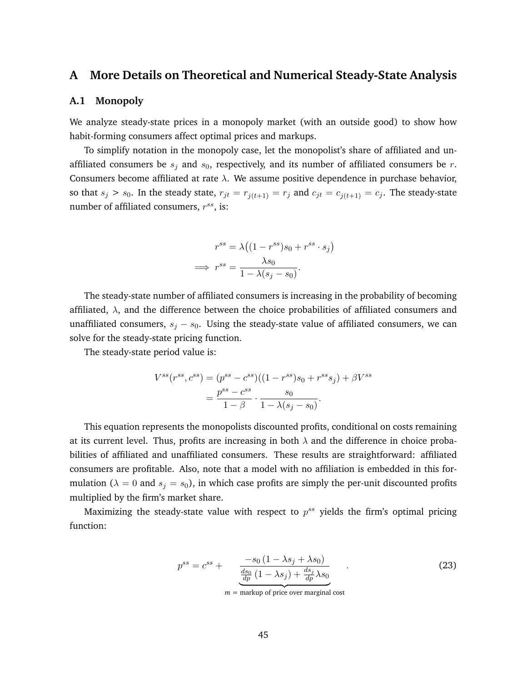## **A More Details on Theoretical and Numerical Steady-State Analysis**

### **A.1 Monopoly**

We analyze steady-state prices in a monopoly market (with an outside good) to show how habit-forming consumers affect optimal prices and markups.

To simplify notation in the monopoly case, let the monopolist's share of affiliated and unaffiliated consumers be  $s_j$  and  $s_0$ , respectively, and its number of affiliated consumers be r. Consumers become affiliated at rate  $\lambda$ . We assume positive dependence in purchase behavior, so that  $s_j > s_0$ . In the steady state,  $r_{jt} = r_{j(t+1)} = r_j$  and  $c_{jt} = c_{j(t+1)} = c_j$ . The steady-state number of affiliated consumers,  $r^{ss}$ , is:

$$
r^{ss} = \lambda \left( (1 - r^{ss})s_0 + r^{ss} \cdot s_j \right)
$$

$$
\implies r^{ss} = \frac{\lambda s_0}{1 - \lambda(s_j - s_0)}.
$$

The steady-state number of affiliated consumers is increasing in the probability of becoming affiliated,  $\lambda$ , and the difference between the choice probabilities of affiliated consumers and unaffiliated consumers,  $s_j - s_0$ . Using the steady-state value of affiliated consumers, we can solve for the steady-state pricing function.

The steady-state period value is:

$$
V^{ss}(r^{ss}, c^{ss}) = (p^{ss} - c^{ss})((1 - r^{ss})s_0 + r^{ss}s_j) + \beta V^{ss}
$$
  
= 
$$
\frac{p^{ss} - c^{ss}}{1 - \beta} \cdot \frac{s_0}{1 - \lambda(s_j - s_0)}.
$$

This equation represents the monopolists discounted profits, conditional on costs remaining at its current level. Thus, profits are increasing in both  $\lambda$  and the difference in choice probabilities of affiliated and unaffiliated consumers. These results are straightforward: affiliated consumers are profitable. Also, note that a model with no affiliation is embedded in this formulation ( $\lambda = 0$  and  $s_j = s_0$ ), in which case profits are simply the per-unit discounted profits multiplied by the firm's market share.

Maximizing the steady-state value with respect to  $p^{ss}$  yields the firm's optimal pricing function:

$$
p^{ss} = c^{ss} + \frac{-s_0 \left(1 - \lambda s_j + \lambda s_0\right)}{\frac{ds_0}{dp} \left(1 - \lambda s_j\right) + \frac{ds_j}{dp} \lambda s_0} \tag{23}
$$

 $m =$  markup of price over marginal cost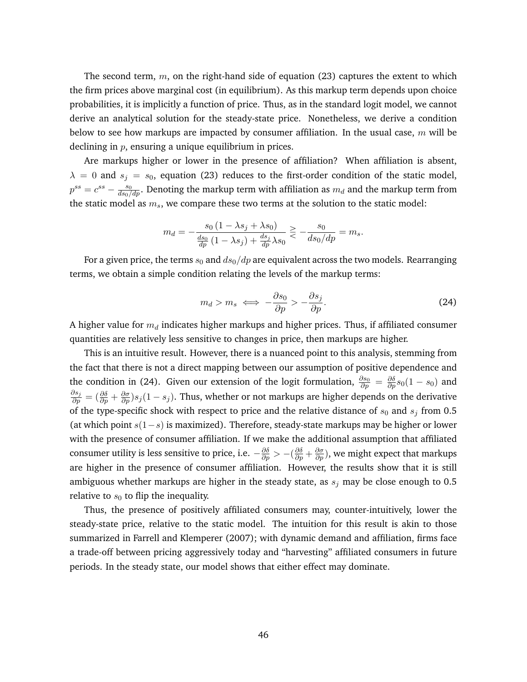The second term,  $m$ , on the right-hand side of equation (23) captures the extent to which the firm prices above marginal cost (in equilibrium). As this markup term depends upon choice probabilities, it is implicitly a function of price. Thus, as in the standard logit model, we cannot derive an analytical solution for the steady-state price. Nonetheless, we derive a condition below to see how markups are impacted by consumer affiliation. In the usual case,  $m$  will be declining in  $p$ , ensuring a unique equilibrium in prices.

Are markups higher or lower in the presence of affiliation? When affiliation is absent,  $\lambda = 0$  and  $s_i = s_0$ , equation (23) reduces to the first-order condition of the static model,  $p^{ss}=c^{ss}-\frac{s_0}{ds_0/dp}.$  Denoting the markup term with affiliation as  $m_d$  and the markup term from the static model as  $m_s$ , we compare these two terms at the solution to the static model:

$$
m_d = -\frac{s_0 (1 - \lambda s_j + \lambda s_0)}{\frac{ds_0}{dp} (1 - \lambda s_j) + \frac{ds_j}{dp} \lambda s_0} \gtrless -\frac{s_0}{ds_0/dp} = m_s.
$$

For a given price, the terms  $s_0$  and  $ds_0/dp$  are equivalent across the two models. Rearranging terms, we obtain a simple condition relating the levels of the markup terms:

$$
m_d > m_s \iff -\frac{\partial s_0}{\partial p} > -\frac{\partial s_j}{\partial p}.\tag{24}
$$

A higher value for  $m_d$  indicates higher markups and higher prices. Thus, if affiliated consumer quantities are relatively less sensitive to changes in price, then markups are higher.

This is an intuitive result. However, there is a nuanced point to this analysis, stemming from the fact that there is not a direct mapping between our assumption of positive dependence and the condition in (24). Given our extension of the logit formulation,  $\frac{\partial s_0}{\partial p} = \frac{\partial \delta}{\partial p} s_0(1-s_0)$  and  $\frac{\partial s_j}{\partial p} = (\frac{\partial \delta}{\partial p} + \frac{\partial \sigma}{\partial p})s_j(1-s_j)$ . Thus, whether or not markups are higher depends on the derivative of the type-specific shock with respect to price and the relative distance of  $s_0$  and  $s_j$  from 0.5 (at which point  $s(1-s)$  is maximized). Therefore, steady-state markups may be higher or lower with the presence of consumer affiliation. If we make the additional assumption that affiliated consumer utility is less sensitive to price, i.e.  $-\frac{\partial \delta}{\partial p}>-(\frac{\partial \delta}{\partial p}+\frac{\partial \sigma}{\partial p}),$  we might expect that markups are higher in the presence of consumer affiliation. However, the results show that it is still ambiguous whether markups are higher in the steady state, as  $s_j$  may be close enough to 0.5 relative to  $s_0$  to flip the inequality.

Thus, the presence of positively affiliated consumers may, counter-intuitively, lower the steady-state price, relative to the static model. The intuition for this result is akin to those summarized in Farrell and Klemperer (2007); with dynamic demand and affiliation, firms face a trade-off between pricing aggressively today and "harvesting" affiliated consumers in future periods. In the steady state, our model shows that either effect may dominate.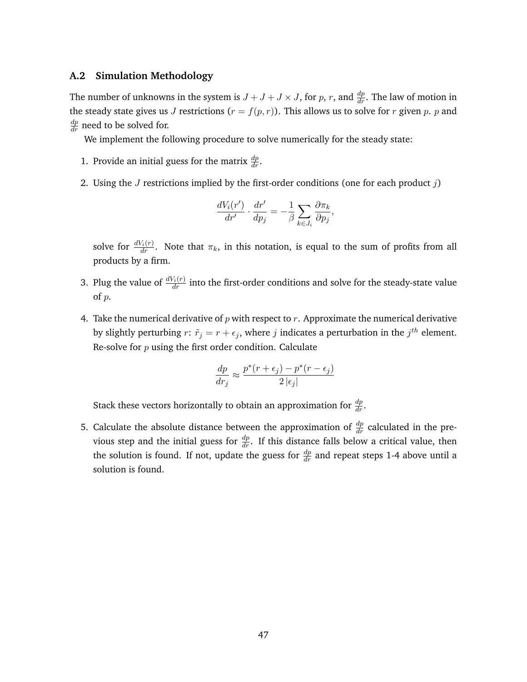## **A.2 Simulation Methodology**

The number of unknowns in the system is  $J + J + J \times J$ , for p, r, and  $\frac{dp}{dr}$ . The law of motion in the steady state gives us J restrictions  $(r = f(p, r))$ . This allows us to solve for r given p. p and  $\frac{dp}{dr}$  need to be solved for.

We implement the following procedure to solve numerically for the steady state:

- 1. Provide an initial guess for the matrix  $\frac{dp}{dr}$ .
- 2. Using the *J* restrictions implied by the first-order conditions (one for each product  $j$ )

$$
\frac{dV_i(r')}{dr'}\cdot\frac{dr'}{dp_j}=-\frac{1}{\beta}\sum_{k\in J_i}\frac{\partial\pi_k}{\partial p_j},
$$

solve for  $\frac{dV_i(r)}{dr}$ . Note that  $\pi_k$ , in this notation, is equal to the sum of profits from all products by a firm.

- 3. Plug the value of  $\frac{dV_i(r)}{dr}$  into the first-order conditions and solve for the steady-state value of p.
- 4. Take the numerical derivative of  $p$  with respect to  $r$ . Approximate the numerical derivative by slightly perturbing  $r: \tilde{r}_j = r + \epsilon_j$ , where j indicates a perturbation in the  $j^{th}$  element. Re-solve for  $p$  using the first order condition. Calculate

$$
\frac{dp}{dr_j} \approx \frac{p^*(r+\epsilon_j) - p^*(r-\epsilon_j)}{2\left|\epsilon_j\right|}
$$

Stack these vectors horizontally to obtain an approximation for  $\frac{dp}{dr}$ .

5. Calculate the absolute distance between the approximation of  $\frac{dp}{dr}$  calculated in the previous step and the initial guess for  $\frac{dp}{dr}$ . If this distance falls below a critical value, then the solution is found. If not, update the guess for  $\frac{dp}{dr}$  and repeat steps 1-4 above until a solution is found.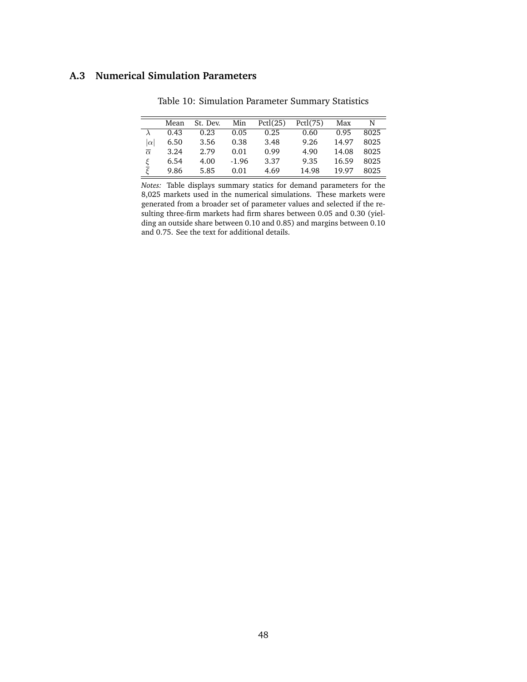## **A.3 Numerical Simulation Parameters**

|                          | Mean | St. Dev. | Min     | Pctl(25) | Pctl(75) | Max   | N    |
|--------------------------|------|----------|---------|----------|----------|-------|------|
|                          | 0.43 | 0.23     | 0.05    | 0.25     | 0.60     | 0.95  | 8025 |
| $ \alpha $               | 6.50 | 3.56     | 0.38    | 3.48     | 9.26     | 14.97 | 8025 |
| $\overline{\alpha}$      | 3.24 | 2.79     | 0.01    | 0.99     | 4.90     | 14.08 | 8025 |
| ξ                        | 6.54 | 4.00     | $-1.96$ | 3.37     | 9.35     | 16.59 | 8025 |
| $\overline{\mathcal{E}}$ | 9.86 | 5.85     | 0.01    | 4.69     | 14.98    | 19.97 | 8025 |

Table 10: Simulation Parameter Summary Statistics

*Notes:* Table displays summary statics for demand parameters for the 8,025 markets used in the numerical simulations. These markets were generated from a broader set of parameter values and selected if the resulting three-firm markets had firm shares between 0.05 and 0.30 (yielding an outside share between 0.10 and 0.85) and margins between 0.10 and 0.75. See the text for additional details.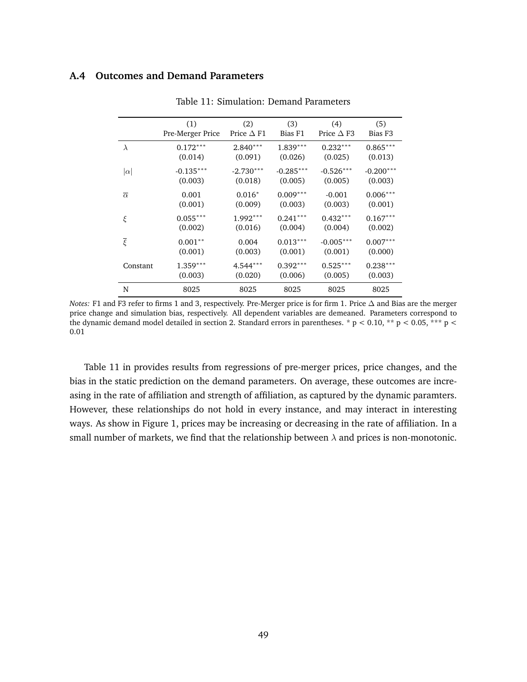## **A.4 Outcomes and Demand Parameters**

|                     | (1)              | (2)               | (3)         | (4)                  | (5)                 |
|---------------------|------------------|-------------------|-------------|----------------------|---------------------|
|                     | Pre-Merger Price | Price $\Delta$ F1 | Bias F1     | Price $\triangle$ F3 | Bias F <sub>3</sub> |
| $\lambda$           | $0.172***$       | $2.840***$        | $1.839***$  | $0.232***$           | $0.865***$          |
|                     | (0.014)          | (0.091)           | (0.026)     | (0.025)              | (0.013)             |
| $ \alpha $          | $-0.135***$      | $-2.730***$       | $-0.285***$ | $-0.526***$          | $-0.200***$         |
|                     | (0.003)          | (0.018)           | (0.005)     | (0.005)              | (0.003)             |
| $\overline{\alpha}$ | 0.001            | $0.016*$          | $0.009***$  | $-0.001$             | $0.006***$          |
|                     | (0.001)          | (0.009)           | (0.003)     | (0.003)              | (0.001)             |
| ξ                   | $0.055***$       | $1.992***$        | $0.241***$  | $0.432***$           | $0.167***$          |
|                     | (0.002)          | (0.016)           | (0.004)     | (0.004)              | (0.002)             |
| $\overline{\xi}$    | $0.001**$        | 0.004             | $0.013***$  | $-0.005***$          | $0.007***$          |
|                     | (0.001)          | (0.003)           | (0.001)     | (0.001)              | (0.000)             |
| Constant            | $1.359***$       | $4.544***$        | $0.392***$  | $0.525***$           | $0.238***$          |
|                     | (0.003)          | (0.020)           | (0.006)     | (0.005)              | (0.003)             |
| N                   | 8025             | 8025              | 8025        | 8025                 | 8025                |

Table 11: Simulation: Demand Parameters

*Notes:* F1 and F3 refer to firms 1 and 3, respectively. Pre-Merger price is for firm 1. Price ∆ and Bias are the merger price change and simulation bias, respectively. All dependent variables are demeaned. Parameters correspond to the dynamic demand model detailed in section 2. Standard errors in parentheses. \*  $p < 0.10$ , \*\*  $p < 0.05$ , \*\*\*  $p <$ 0.01

Table 11 in provides results from regressions of pre-merger prices, price changes, and the bias in the static prediction on the demand parameters. On average, these outcomes are increasing in the rate of affiliation and strength of affiliation, as captured by the dynamic paramters. However, these relationships do not hold in every instance, and may interact in interesting ways. As show in Figure 1, prices may be increasing or decreasing in the rate of affiliation. In a small number of markets, we find that the relationship between  $\lambda$  and prices is non-monotonic.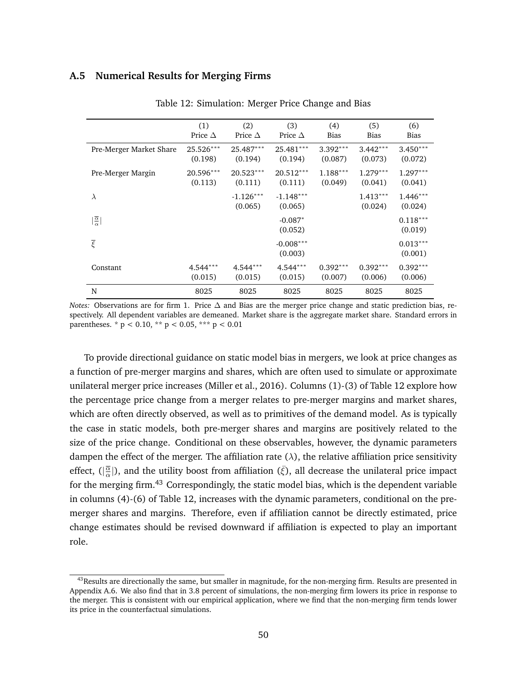### **A.5 Numerical Results for Merging Firms**

|                                    | (1)<br>Price $\Delta$ | (2)<br>Price $\Delta$  | (3)<br>Price $\Delta$  | (4)<br>Bias           | (5)<br><b>Bias</b>    | (6)<br><b>Bias</b>    |
|------------------------------------|-----------------------|------------------------|------------------------|-----------------------|-----------------------|-----------------------|
| Pre-Merger Market Share            | 25.526***<br>(0.198)  | 25.487***<br>(0.194)   | 25.481***<br>(0.194)   | $3.392***$<br>(0.087) | $3.442***$<br>(0.073) | $3.450***$<br>(0.072) |
| Pre-Merger Margin                  | 20.596***<br>(0.113)  | $20.523***$<br>(0.111) | $20.512***$<br>(0.111) | $1.188***$<br>(0.049) | $1.279***$<br>(0.041) | $1.297***$<br>(0.041) |
| $\lambda$                          |                       | $-1.126***$<br>(0.065) | $-1.148***$<br>(0.065) |                       | $1.413***$<br>(0.024) | $1.446***$<br>(0.024) |
| $\frac{\overline{\alpha}}{\alpha}$ |                       |                        | $-0.087*$<br>(0.052)   |                       |                       | $0.118***$<br>(0.019) |
| $\overline{\xi}$                   |                       |                        | $-0.008***$<br>(0.003) |                       |                       | $0.013***$<br>(0.001) |
| Constant                           | $4.544***$<br>(0.015) | $4.544***$<br>(0.015)  | $4.544***$<br>(0.015)  | $0.392***$<br>(0.007) | $0.392***$<br>(0.006) | $0.392***$<br>(0.006) |
| N                                  | 8025                  | 8025                   | 8025                   | 8025                  | 8025                  | 8025                  |

Table 12: Simulation: Merger Price Change and Bias

*Notes:* Observations are for firm 1. Price  $\Delta$  and Bias are the merger price change and static prediction bias, respectively. All dependent variables are demeaned. Market share is the aggregate market share. Standard errors in parentheses. \*  $p < 0.10$ , \*\*  $p < 0.05$ , \*\*\*  $p < 0.01$ 

To provide directional guidance on static model bias in mergers, we look at price changes as a function of pre-merger margins and shares, which are often used to simulate or approximate unilateral merger price increases (Miller et al., 2016). Columns (1)-(3) of Table 12 explore how the percentage price change from a merger relates to pre-merger margins and market shares, which are often directly observed, as well as to primitives of the demand model. As is typically the case in static models, both pre-merger shares and margins are positively related to the size of the price change. Conditional on these observables, however, the dynamic parameters dampen the effect of the merger. The affiliation rate  $(\lambda)$ , the relative affiliation price sensitivity effect,  $(|\frac{\overline{\alpha}}{\alpha}|)$  $\frac{\overline{\alpha}}{\alpha}$ ]), and the utility boost from affiliation ( $\bar{\zeta}$ ), all decrease the unilateral price impact for the merging firm.<sup>43</sup> Correspondingly, the static model bias, which is the dependent variable in columns (4)-(6) of Table 12, increases with the dynamic parameters, conditional on the premerger shares and margins. Therefore, even if affiliation cannot be directly estimated, price change estimates should be revised downward if affiliation is expected to play an important role.

<sup>&</sup>lt;sup>43</sup>Results are directionally the same, but smaller in magnitude, for the non-merging firm. Results are presented in Appendix A.6. We also find that in 3.8 percent of simulations, the non-merging firm lowers its price in response to the merger. This is consistent with our empirical application, where we find that the non-merging firm tends lower its price in the counterfactual simulations.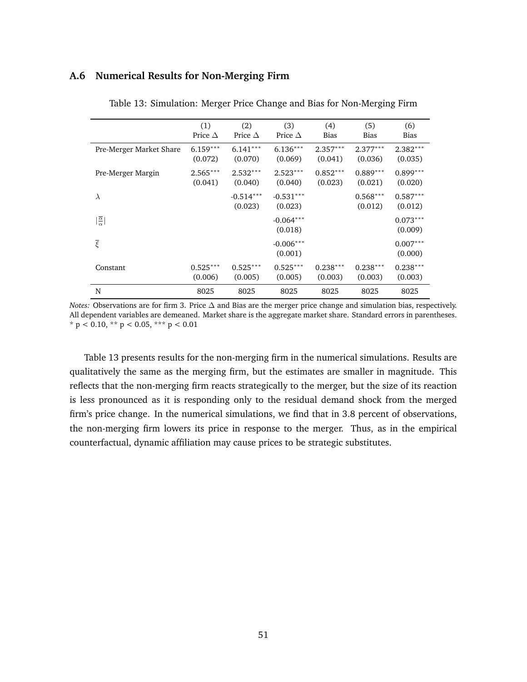## **A.6 Numerical Results for Non-Merging Firm**

|                                    | (1)<br>Price $\Delta$ | (2)<br>Price $\Delta$  | (3)<br>Price $\Delta$  | (4)<br>Bias           | (5)<br>Bias           | (6)<br><b>Bias</b>    |
|------------------------------------|-----------------------|------------------------|------------------------|-----------------------|-----------------------|-----------------------|
| Pre-Merger Market Share            | $6.159***$<br>(0.072) | $6.141***$<br>(0.070)  | $6.136***$<br>(0.069)  | $2.357***$<br>(0.041) | $2.377***$<br>(0.036) | $2.382***$<br>(0.035) |
| Pre-Merger Margin                  | $2.565***$<br>(0.041) | $2.532***$<br>(0.040)  | $2.523***$<br>(0.040)  | $0.852***$<br>(0.023) | $0.889***$<br>(0.021) | $0.899***$<br>(0.020) |
| $\lambda$                          |                       | $-0.514***$<br>(0.023) | $-0.531***$<br>(0.023) |                       | $0.568***$<br>(0.012) | $0.587***$<br>(0.012) |
| $\frac{\overline{\alpha}}{\alpha}$ |                       |                        | $-0.064***$<br>(0.018) |                       |                       | $0.073***$<br>(0.009) |
| $\overline{\xi}$                   |                       |                        | $-0.006***$<br>(0.001) |                       |                       | $0.007***$<br>(0.000) |
| Constant                           | $0.525***$<br>(0.006) | $0.525***$<br>(0.005)  | $0.525***$<br>(0.005)  | $0.238***$<br>(0.003) | $0.238***$<br>(0.003) | $0.238***$<br>(0.003) |
| N                                  | 8025                  | 8025                   | 8025                   | 8025                  | 8025                  | 8025                  |

Table 13: Simulation: Merger Price Change and Bias for Non-Merging Firm

*Notes:* Observations are for firm 3. Price ∆ and Bias are the merger price change and simulation bias, respectively. All dependent variables are demeaned. Market share is the aggregate market share. Standard errors in parentheses. \* p < 0.10, \*\* p < 0.05, \*\*\* p < 0.01

Table 13 presents results for the non-merging firm in the numerical simulations. Results are qualitatively the same as the merging firm, but the estimates are smaller in magnitude. This reflects that the non-merging firm reacts strategically to the merger, but the size of its reaction is less pronounced as it is responding only to the residual demand shock from the merged firm's price change. In the numerical simulations, we find that in 3.8 percent of observations, the non-merging firm lowers its price in response to the merger. Thus, as in the empirical counterfactual, dynamic affiliation may cause prices to be strategic substitutes.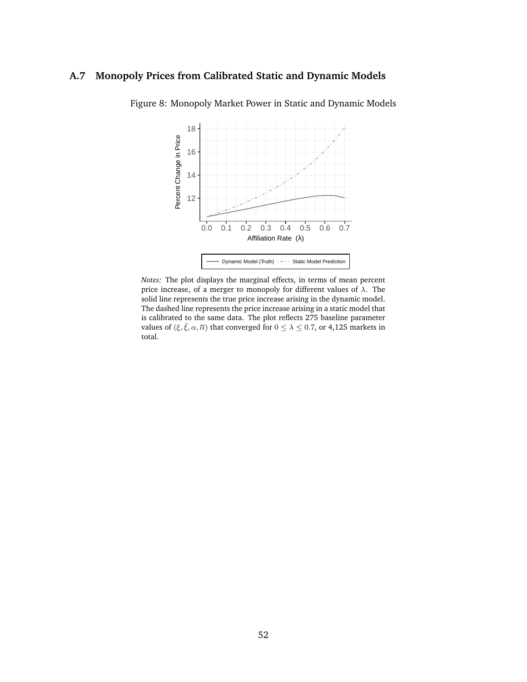## **A.7 Monopoly Prices from Calibrated Static and Dynamic Models**



Figure 8: Monopoly Market Power in Static and Dynamic Models

*Notes:* The plot displays the marginal effects, in terms of mean percent price increase, of a merger to monopoly for different values of  $\lambda$ . The solid line represents the true price increase arising in the dynamic model. The dashed line represents the price increase arising in a static model that is calibrated to the same data. The plot reflects 275 baseline parameter values of  $(\xi, \bar{\xi}, \alpha, \bar{\alpha})$  that converged for  $0 \leq \lambda \leq 0.7$ , or 4,125 markets in total.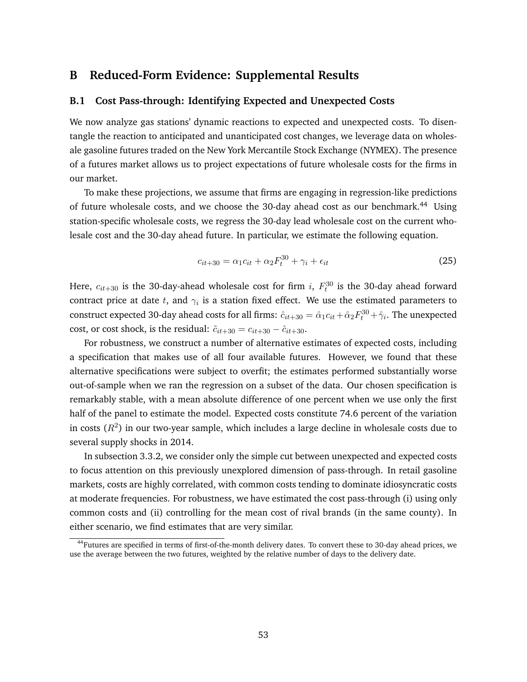## **B Reduced-Form Evidence: Supplemental Results**

## **B.1 Cost Pass-through: Identifying Expected and Unexpected Costs**

We now analyze gas stations' dynamic reactions to expected and unexpected costs. To disentangle the reaction to anticipated and unanticipated cost changes, we leverage data on wholesale gasoline futures traded on the New York Mercantile Stock Exchange (NYMEX). The presence of a futures market allows us to project expectations of future wholesale costs for the firms in our market.

To make these projections, we assume that firms are engaging in regression-like predictions of future wholesale costs, and we choose the 30-day ahead cost as our benchmark.<sup>44</sup> Using station-specific wholesale costs, we regress the 30-day lead wholesale cost on the current wholesale cost and the 30-day ahead future. In particular, we estimate the following equation.

$$
c_{it+30} = \alpha_1 c_{it} + \alpha_2 F_t^{30} + \gamma_i + \epsilon_{it}
$$
\n
$$
(25)
$$

Here,  $c_{it+30}$  is the 30-day-ahead wholesale cost for firm  $i, \; F^{30}_t$  is the 30-day ahead forward contract price at date  $t$ , and  $\gamma_i$  is a station fixed effect. We use the estimated parameters to construct expected 30-day ahead costs for all firms:  $\hat{c}_{it+30} = \hat{\alpha}_1 c_{it} + \hat{\alpha}_2 F_t^{30} + \hat{\gamma}_i$ . The unexpected cost, or cost shock, is the residual:  $\tilde{c}_{it+30} = c_{it+30} - \hat{c}_{it+30}$ .

For robustness, we construct a number of alternative estimates of expected costs, including a specification that makes use of all four available futures. However, we found that these alternative specifications were subject to overfit; the estimates performed substantially worse out-of-sample when we ran the regression on a subset of the data. Our chosen specification is remarkably stable, with a mean absolute difference of one percent when we use only the first half of the panel to estimate the model. Expected costs constitute 74.6 percent of the variation in costs  $(R^2)$  in our two-year sample, which includes a large decline in wholesale costs due to several supply shocks in 2014.

In subsection 3.3.2, we consider only the simple cut between unexpected and expected costs to focus attention on this previously unexplored dimension of pass-through. In retail gasoline markets, costs are highly correlated, with common costs tending to dominate idiosyncratic costs at moderate frequencies. For robustness, we have estimated the cost pass-through (i) using only common costs and (ii) controlling for the mean cost of rival brands (in the same county). In either scenario, we find estimates that are very similar.

<sup>&</sup>lt;sup>44</sup>Futures are specified in terms of first-of-the-month delivery dates. To convert these to 30-day ahead prices, we use the average between the two futures, weighted by the relative number of days to the delivery date.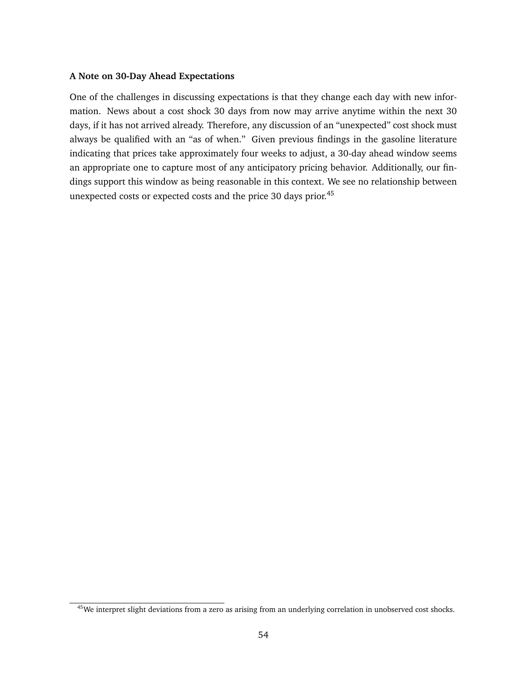### **A Note on 30-Day Ahead Expectations**

One of the challenges in discussing expectations is that they change each day with new information. News about a cost shock 30 days from now may arrive anytime within the next 30 days, if it has not arrived already. Therefore, any discussion of an "unexpected" cost shock must always be qualified with an "as of when." Given previous findings in the gasoline literature indicating that prices take approximately four weeks to adjust, a 30-day ahead window seems an appropriate one to capture most of any anticipatory pricing behavior. Additionally, our findings support this window as being reasonable in this context. We see no relationship between unexpected costs or expected costs and the price 30 days prior.<sup>45</sup>

<sup>&</sup>lt;sup>45</sup>We interpret slight deviations from a zero as arising from an underlying correlation in unobserved cost shocks.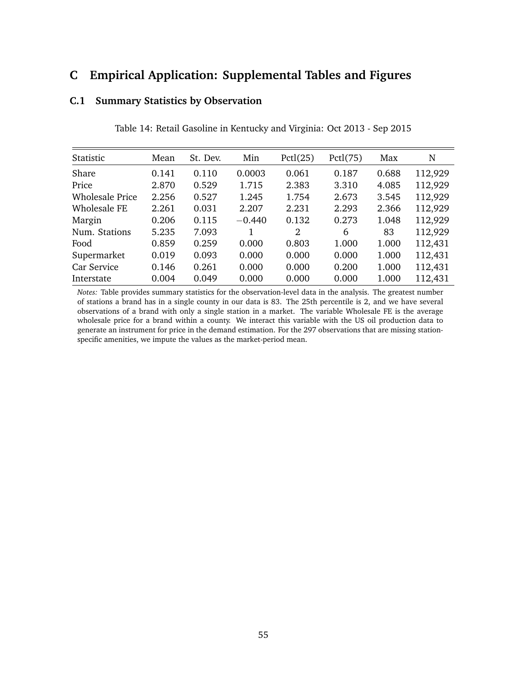# **C Empirical Application: Supplemental Tables and Figures**

## **C.1 Summary Statistics by Observation**

| Statistic       | Mean  | St. Dev. | Min      | Pctl(25) | Pctl(75) | Max   | N       |
|-----------------|-------|----------|----------|----------|----------|-------|---------|
| Share           | 0.141 | 0.110    | 0.0003   | 0.061    | 0.187    | 0.688 | 112,929 |
| Price           | 2.870 | 0.529    | 1.715    | 2.383    | 3.310    | 4.085 | 112,929 |
| Wholesale Price | 2.256 | 0.527    | 1.245    | 1.754    | 2.673    | 3.545 | 112,929 |
| Wholesale FE    | 2.261 | 0.031    | 2.207    | 2.231    | 2.293    | 2.366 | 112,929 |
| Margin          | 0.206 | 0.115    | $-0.440$ | 0.132    | 0.273    | 1.048 | 112,929 |
| Num. Stations   | 5.235 | 7.093    |          | 2        | 6        | 83    | 112,929 |
| Food            | 0.859 | 0.259    | 0.000    | 0.803    | 1.000    | 1.000 | 112,431 |
| Supermarket     | 0.019 | 0.093    | 0.000    | 0.000    | 0.000    | 1.000 | 112,431 |
| Car Service     | 0.146 | 0.261    | 0.000    | 0.000    | 0.200    | 1.000 | 112,431 |
| Interstate      | 0.004 | 0.049    | 0.000    | 0.000    | 0.000    | 1.000 | 112,431 |

Table 14: Retail Gasoline in Kentucky and Virginia: Oct 2013 - Sep 2015

*Notes:* Table provides summary statistics for the observation-level data in the analysis. The greatest number of stations a brand has in a single county in our data is 83. The 25th percentile is 2, and we have several observations of a brand with only a single station in a market. The variable Wholesale FE is the average wholesale price for a brand within a county. We interact this variable with the US oil production data to generate an instrument for price in the demand estimation. For the 297 observations that are missing stationspecific amenities, we impute the values as the market-period mean.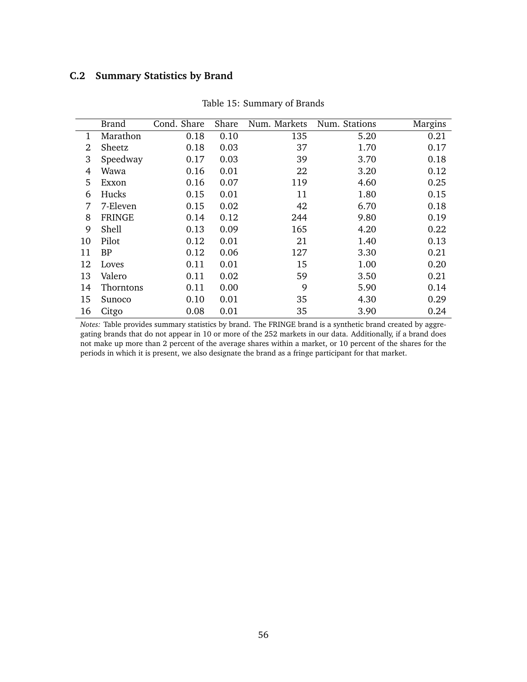## **C.2 Summary Statistics by Brand**

|              | Brand         | Cond. Share | Share | Num. Markets | Num. Stations | Margins |
|--------------|---------------|-------------|-------|--------------|---------------|---------|
| $\mathbf{1}$ | Marathon      | 0.18        | 0.10  | 135          | 5.20          | 0.21    |
| 2            | Sheetz        | 0.18        | 0.03  | 37           | 1.70          | 0.17    |
| 3            | Speedway      | 0.17        | 0.03  | 39           | 3.70          | 0.18    |
| 4            | Wawa          | 0.16        | 0.01  | 22           | 3.20          | 0.12    |
| 5            | Exxon         | 0.16        | 0.07  | 119          | 4.60          | 0.25    |
| 6            | Hucks         | 0.15        | 0.01  | 11           | 1.80          | 0.15    |
| 7            | 7-Eleven      | 0.15        | 0.02  | 42           | 6.70          | 0.18    |
| 8            | <b>FRINGE</b> | 0.14        | 0.12  | 244          | 9.80          | 0.19    |
| 9            | Shell         | 0.13        | 0.09  | 165          | 4.20          | 0.22    |
| 10           | Pilot         | 0.12        | 0.01  | 21           | 1.40          | 0.13    |
| 11           | <b>BP</b>     | 0.12        | 0.06  | 127          | 3.30          | 0.21    |
| 12           | Loves         | 0.11        | 0.01  | 15           | 1.00          | 0.20    |
| 13           | Valero        | 0.11        | 0.02  | 59           | 3.50          | 0.21    |
| 14           | Thorntons     | 0.11        | 0.00  | 9            | 5.90          | 0.14    |
| 15           | Sunoco        | 0.10        | 0.01  | 35           | 4.30          | 0.29    |
| 16           | Citgo         | 0.08        | 0.01  | 35           | 3.90          | 0.24    |

Table 15: Summary of Brands

*Notes:* Table provides summary statistics by brand. The FRINGE brand is a synthetic brand created by aggregating brands that do not appear in 10 or more of the 252 markets in our data. Additionally, if a brand does not make up more than 2 percent of the average shares within a market, or 10 percent of the shares for the periods in which it is present, we also designate the brand as a fringe participant for that market.